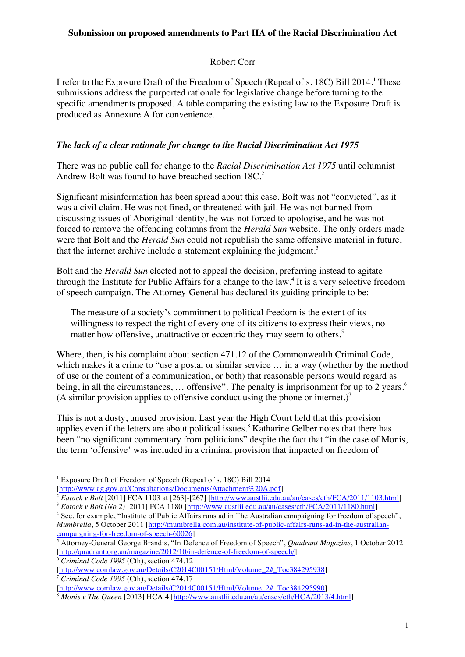### **Submission on proposed amendments to Part IIA of the Racial Discrimination Act**

# Robert Corr

I refer to the Exposure Draft of the Freedom of Speech (Repeal of s. 18C) Bill 2014.<sup>1</sup> These submissions address the purported rationale for legislative change before turning to the specific amendments proposed. A table comparing the existing law to the Exposure Draft is produced as Annexure A for convenience.

# *The lack of a clear rationale for change to the Racial Discrimination Act 1975*

There was no public call for change to the *Racial Discrimination Act 1975* until columnist Andrew Bolt was found to have breached section 18C.<sup>2</sup>

Significant misinformation has been spread about this case. Bolt was not "convicted", as it was a civil claim. He was not fined, or threatened with jail. He was not banned from discussing issues of Aboriginal identity, he was not forced to apologise, and he was not forced to remove the offending columns from the *Herald Sun* website. The only orders made were that Bolt and the *Herald Sun* could not republish the same offensive material in future, that the internet archive include a statement explaining the judgment.<sup>3</sup>

Bolt and the *Herald Sun* elected not to appeal the decision, preferring instead to agitate through the Institute for Public Affairs for a change to the law.<sup>4</sup> It is a very selective freedom of speech campaign. The Attorney-General has declared its guiding principle to be:

The measure of a society's commitment to political freedom is the extent of its willingness to respect the right of every one of its citizens to express their views, no matter how offensive, unattractive or eccentric they may seem to others.<sup>5</sup>

Where, then, is his complaint about section 471.12 of the Commonwealth Criminal Code, which makes it a crime to "use a postal or similar service ... in a way (whether by the method of use or the content of a communication, or both) that reasonable persons would regard as being, in all the circumstances, ... offensive". The penalty is imprisonment for up to 2 years.<sup>6</sup> (A similar provision applies to offensive conduct using the phone or internet.)<sup>7</sup>

This is not a dusty, unused provision. Last year the High Court held that this provision applies even if the letters are about political issues.<sup>8</sup> Katharine Gelber notes that there has been "no significant commentary from politicians" despite the fact that "in the case of Monis, the term 'offensive' was included in a criminal provision that impacted on freedom of

<sup>6</sup> *Criminal Code 1995* (Cth), section 474.12 [http://www.comlaw.gov.au/Details/C2014C00151/Html/Volume\_2#\_Toc384295938] <sup>7</sup> *Criminal Code 1995* (Cth), section 474.17

<sup>!!!!!!!!!!!!!!!!!!!!!!!!!!!!!!!!!!!!!!!!!!!!!!!!!!!!!!!</sup> <sup>1</sup> Exposure Draft of Freedom of Speech (Repeal of s. 18C) Bill 2014 [http://www.ag.gov.au/Consultations/Documents/Attachment%20A.pdf]

<sup>&</sup>lt;sup>2</sup> *Eatock v Bolt* [2011] FCA 1103 at [263]-[267] [http://www.austlii.edu.au/au/cases/cth/FCA/2011/1103.html]

<sup>&</sup>lt;sup>3</sup> *Eatock v Bolt (No 2)* [2011] FCA 1180 [http://www.austlii.edu.au/au/cases/cth/FCA/2011/1180.html]

<sup>4</sup> See, for example, "Institute of Public Affairs runs ad in The Australian campaigning for freedom of speech", *Mumbrella*, 5 October 2011 [http://mumbrella.com.au/institute-of-public-affairs-runs-ad-in-the-australiancampaigning-for-freedom-of-speech-60026]

<sup>5</sup> Attorney-General George Brandis, "In Defence of Freedom of Speech", *Quadrant Magazine*, 1 October 2012 [http://quadrant.org.au/magazine/2012/10/in-defence-of-freedom-of-speech/]

<sup>[</sup>http://www.comlaw.gov.au/Details/C2014C00151/Html/Volume\_2#\_Toc384295990]

<sup>8</sup> *Monis v The Queen* [2013] HCA 4 [http://www.austlii.edu.au/au/cases/cth/HCA/2013/4.html]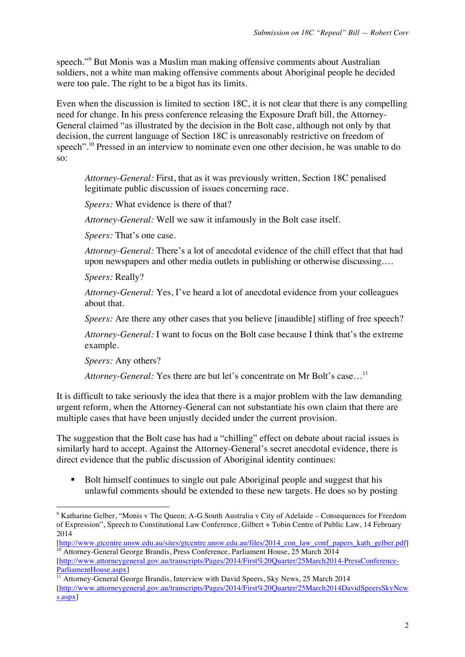speech."<sup>9</sup> But Monis was a Muslim man making offensive comments about Australian soldiers, not a white man making offensive comments about Aboriginal people he decided were too pale. The right to be a bigot has its limits.

Even when the discussion is limited to section 18C, it is not clear that there is any compelling need for change. In his press conference releasing the Exposure Draft bill, the Attorney-General claimed "as illustrated by the decision in the Bolt case, although not only by that decision, the current language of Section 18C is unreasonably restrictive on freedom of speech".<sup>10</sup> Pressed in an interview to nominate even one other decision, he was unable to do so:

*Attorney-General:* First, that as it was previously written, Section 18C penalised legitimate public discussion of issues concerning race.

*Speers:* What evidence is there of that?

*Attorney-General:* Well we saw it infamously in the Bolt case itself.

*Speers:* That's one case.

*Attorney-General:* There's a lot of anecdotal evidence of the chill effect that that had upon newspapers and other media outlets in publishing or otherwise discussing….

*Speers:* Really?

*Attorney-General:* Yes, I've heard a lot of anecdotal evidence from your colleagues about that.

*Speers:* Are there any other cases that you believe [inaudible] stifling of free speech?

*Attorney-General:* I want to focus on the Bolt case because I think that's the extreme example.

*Speers:* Any others?

!!!!!!!!!!!!!!!!!!!!!!!!!!!!!!!!!!!!!!!!!!!!!!!!!!!!!!!

*Attorney-General:* Yes there are but let's concentrate on Mr Bolt's case...<sup>11</sup>

It is difficult to take seriously the idea that there is a major problem with the law demanding urgent reform, when the Attorney-General can not substantiate his own claim that there are multiple cases that have been unjustly decided under the current provision.

The suggestion that the Bolt case has had a "chilling" effect on debate about racial issues is similarly hard to accept. Against the Attorney-General's secret anecdotal evidence, there is direct evidence that the public discussion of Aboriginal identity continues:

! Bolt himself continues to single out pale Aboriginal people and suggest that his unlawful comments should be extended to these new targets. He does so by posting

<sup>&</sup>lt;sup>9</sup> Katharine Gelber, "Monis v The Queen; A-G South Australia v City of Adelaide – Consequences for Freedom of Expression", Speech to Constitutional Law Conference, Gilbert + Tobin Centre of Public Law, 14 February 2014

<sup>[</sup>http://www.gtcentre.unsw.edu.au/sites/gtcentre.unsw.edu.au/files/2014\_con\_law\_conf\_papers\_kath\_gelber.pdf] <sup>10</sup> Attorney-General George Brandis, Press Conference, Parliament House, 25 March 2014

<sup>[</sup>http://www.attorneygeneral.gov.au/transcripts/Pages/2014/First%20Quarter/25March2014-PressConference-ParliamentHouse.aspx]

<sup>&</sup>lt;sup>11</sup> Attorney-General George Brandis, Interview with David Speers, Sky News, 25 March 2014 [http://www.attorneygeneral.gov.au/transcripts/Pages/2014/First%20Quarter/25March2014DavidSpeersSkyNew s.aspx]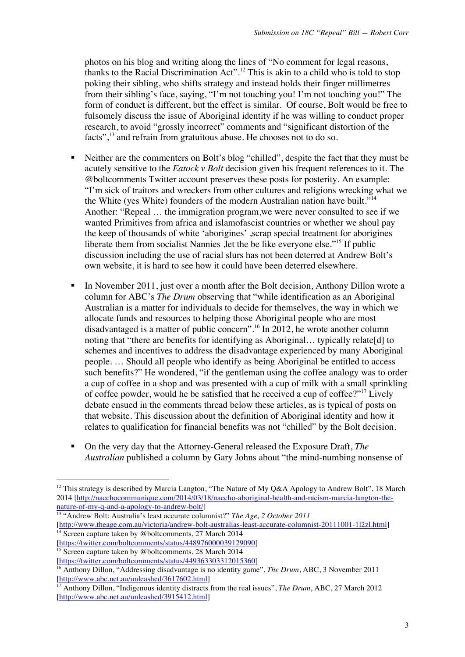photos on his blog and writing along the lines of "No comment for legal reasons, thanks to the Racial Discrimination Act".<sup>12</sup> This is akin to a child who is told to stop poking their sibling, who shifts strategy and instead holds their finger millimetres from their sibling's face, saying, "I'm not touching you! I'm not touching you!" The form of conduct is different, but the effect is similar. Of course, Bolt would be free to fulsomely discuss the issue of Aboriginal identity if he was willing to conduct proper research, to avoid "grossly incorrect" comments and "significant distortion of the facts",<sup>13</sup> and refrain from gratuitous abuse. He chooses not to do so.

- ! Neither are the commenters on Bolt's blog "chilled", despite the fact that they must be acutely sensitive to the *Eatock v Bolt* decision given his frequent references to it. The @boltcomments Twitter account preserves these posts for posterity. An example: "I'm sick of traitors and wreckers from other cultures and religions wrecking what we the White (yes White) founders of the modern Australian nation have built."14 Another: "Repeal … the immigration program,we were never consulted to see if we wanted Primitives from africa and islamofascist countries or whether we shoul pay the keep of thousands of white 'aborigines' ,scrap special treatment for aborigines liberate them from socialist Nannies ,let the be like everyone else."15 If public discussion including the use of racial slurs has not been deterred at Andrew Bolt's own website, it is hard to see how it could have been deterred elsewhere.
- ! In November 2011, just over a month after the Bolt decision, Anthony Dillon wrote a column for ABC's *The Drum* observing that "while identification as an Aboriginal Australian is a matter for individuals to decide for themselves, the way in which we allocate funds and resources to helping those Aboriginal people who are most disadvantaged is a matter of public concern".<sup>16</sup> In 2012, he wrote another column noting that "there are benefits for identifying as Aboriginal… typically relate[d] to schemes and incentives to address the disadvantage experienced by many Aboriginal people. … Should all people who identify as being Aboriginal be entitled to access such benefits?" He wondered, "if the gentleman using the coffee analogy was to order a cup of coffee in a shop and was presented with a cup of milk with a small sprinkling of coffee powder, would he be satisfied that he received a cup of coffee?"17 Lively debate ensued in the comments thread below these articles, as is typical of posts on that website. This discussion about the definition of Aboriginal identity and how it relates to qualification for financial benefits was not "chilled" by the Bolt decision.
- ! On the very day that the Attorney-General released the Exposure Draft, *The Australian* published a column by Gary Johns about "the mind-numbing nonsense of

[http://www.theage.com.au/victoria/andrew-bolt-australias-least-accurate-columnist-20111001-1l2zl.html]  $\frac{14}{14}$  Screen capture taken by @boltcomments, 27 March 2014

<sup>!!!!!!!!!!!!!!!!!!!!!!!!!!!!!!!!!!!!!!!!!!!!!!!!!!!!!!!</sup> <sup>12</sup> This strategy is described by Marcia Langton, "The Nature of My Q&A Apology to Andrew Bolt", 18 March 2014 [http://nacchocommunique.com/2014/03/18/naccho-aboriginal-health-and-racism-marcia-langton-thenature-of-my-q-and-a-apology-to-andrew-bolt/]

<sup>13</sup> "Andrew Bolt: Australia's least accurate columnist?" *The Age, 2 October 2011*

<sup>[</sup>https://twitter.com/boltcomments/status/448976000039129090]  $\frac{15}{15}$  Screen capture taken by @boltcomments, 28 March 2014

<sup>[</sup>https://twitter.com/boltcomments/status/449363303312015360]

<sup>&</sup>lt;sup>16</sup> Anthony Dillon, "Addressing disadvantage is no identity game", *The Drum*, ABC, 3 November 2011 [http://www.abc.net.au/unleashed/3617602.html]

<sup>&</sup>lt;sup>17</sup> Anthony Dillon, "Indigenous identity distracts from the real issues", *The Drum*, ABC, 27 March 2012 [http://www.abc.net.au/unleashed/3915412.html]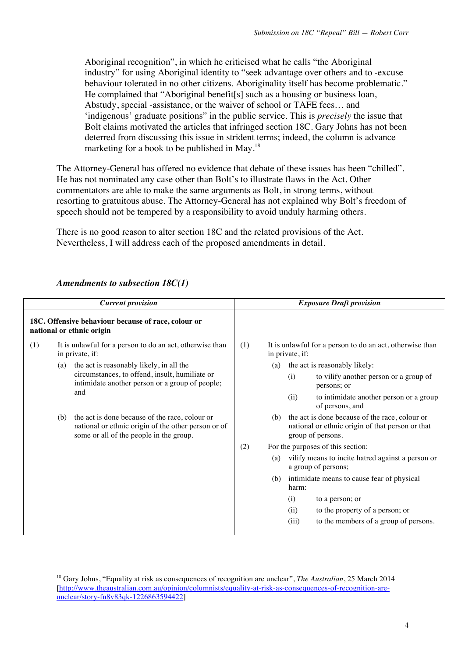Aboriginal recognition", in which he criticised what he calls "the Aboriginal industry" for using Aboriginal identity to "seek advantage over others and to -excuse behaviour tolerated in no other citizens. Aboriginality itself has become problematic." He complained that "Aboriginal benefit[s] such as a housing or business loan, Abstudy, special -assistance, or the waiver of school or TAFE fees... and 'indigenous' graduate positions" in the public service. This is *precisely* the issue that Bolt claims motivated the articles that infringed section 18C. Gary Johns has not been deterred from discussing this issue in strident terms; indeed, the column is advance marketing for a book to be published in May.<sup>18</sup>

The Attorney-General has offered no evidence that debate of these issues has been "chilled". He has not nominated any case other than Bolt's to illustrate flaws in the Act. Other commentators are able to make the same arguments as Bolt, in strong terms, without resorting to gratuitous abuse. The Attorney-General has not explained why Bolt's freedom of speech should not be tempered by a responsibility to avoid unduly harming others.

There is no good reason to alter section 18C and the related provisions of the Act. Nevertheless, I will address each of the proposed amendments in detail.

| <b>Current provision</b>                                                           |     |                                                                                                                                                  |                                                                             |     | <b>Exposure Draft provision</b> |                                                                                                                         |
|------------------------------------------------------------------------------------|-----|--------------------------------------------------------------------------------------------------------------------------------------------------|-----------------------------------------------------------------------------|-----|---------------------------------|-------------------------------------------------------------------------------------------------------------------------|
| 18C. Offensive behaviour because of race, colour or<br>national or ethnic origin   |     |                                                                                                                                                  |                                                                             |     |                                 |                                                                                                                         |
| (1)<br>It is unlawful for a person to do an act, otherwise than<br>in private, if: |     | (1)                                                                                                                                              | It is unlawful for a person to do an act, otherwise than<br>in private, if: |     |                                 |                                                                                                                         |
|                                                                                    | (a) | the act is reasonably likely, in all the                                                                                                         |                                                                             | (a) |                                 | the act is reasonably likely:                                                                                           |
|                                                                                    |     | circumstances, to offend, insult, humiliate or<br>intimidate another person or a group of people;<br>and                                         |                                                                             |     | (i)                             | to vilify another person or a group of<br>persons; or                                                                   |
|                                                                                    |     |                                                                                                                                                  |                                                                             |     | (ii)                            | to intimidate another person or a group<br>of persons, and                                                              |
|                                                                                    | (b) | the act is done because of the race, colour or<br>national or ethnic origin of the other person or of<br>some or all of the people in the group. |                                                                             | (b) |                                 | the act is done because of the race, colour or<br>national or ethnic origin of that person or that<br>group of persons. |
|                                                                                    |     |                                                                                                                                                  | (2)<br>For the purposes of this section:                                    |     |                                 |                                                                                                                         |
|                                                                                    |     |                                                                                                                                                  |                                                                             | (a) |                                 | vilify means to incite hatred against a person or<br>a group of persons;                                                |
|                                                                                    |     |                                                                                                                                                  |                                                                             | (b) | harm:                           | intimidate means to cause fear of physical                                                                              |
|                                                                                    |     |                                                                                                                                                  |                                                                             |     | (i)                             | to a person; or                                                                                                         |
|                                                                                    |     |                                                                                                                                                  |                                                                             |     | (ii)                            | to the property of a person; or                                                                                         |
|                                                                                    |     |                                                                                                                                                  |                                                                             |     | (iii)                           | to the members of a group of persons.                                                                                   |
|                                                                                    |     |                                                                                                                                                  |                                                                             |     |                                 |                                                                                                                         |

### *Amendments to subsection 18C(1)*

<sup>&</sup>lt;sup>18</sup> Gary Johns, "Equality at risk as consequences of recognition are unclear", *The Australian*, 25 March 2014 [http://www.theaustralian.com.au/opinion/columnists/equality-at-risk-as-consequences-of-recognition-areunclear/story-fn8v83qk-1226863594422]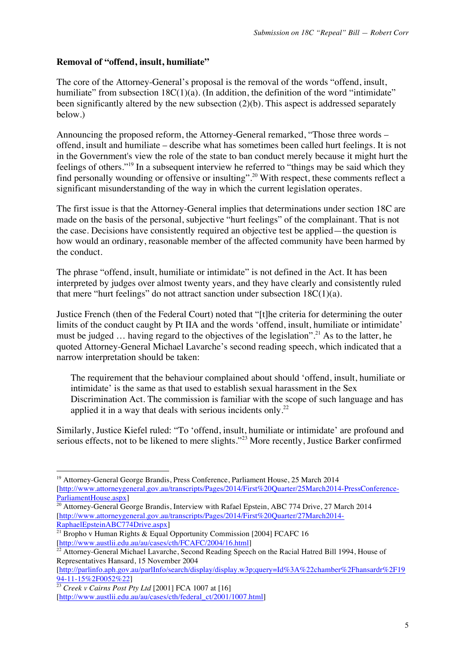## **Removal of "offend, insult, humiliate"**

The core of the Attorney-General's proposal is the removal of the words "offend, insult, humiliate" from subsection  $18C(1)(a)$ . (In addition, the definition of the word "intimidate" been significantly altered by the new subsection (2)(b). This aspect is addressed separately below.)

Announcing the proposed reform, the Attorney-General remarked, "Those three words – offend, insult and humiliate – describe what has sometimes been called hurt feelings. It is not in the Government's view the role of the state to ban conduct merely because it might hurt the feelings of others."<sup>19</sup> In a subsequent interview he referred to "things may be said which they find personally wounding or offensive or insulting".<sup>20</sup> With respect, these comments reflect a significant misunderstanding of the way in which the current legislation operates.

The first issue is that the Attorney-General implies that determinations under section 18C are made on the basis of the personal, subjective "hurt feelings" of the complainant. That is not the case. Decisions have consistently required an objective test be applied—the question is how would an ordinary, reasonable member of the affected community have been harmed by the conduct.

The phrase "offend, insult, humiliate or intimidate" is not defined in the Act. It has been interpreted by judges over almost twenty years, and they have clearly and consistently ruled that mere "hurt feelings" do not attract sanction under subsection  $18C(1)(a)$ .

Justice French (then of the Federal Court) noted that "[t]he criteria for determining the outer limits of the conduct caught by Pt IIA and the words 'offend, insult, humiliate or intimidate' must be judged  $\ldots$  having regard to the objectives of the legislation".<sup>21</sup> As to the latter, he quoted Attorney-General Michael Lavarche's second reading speech, which indicated that a narrow interpretation should be taken:

The requirement that the behaviour complained about should 'offend, insult, humiliate or intimidate' is the same as that used to establish sexual harassment in the Sex Discrimination Act. The commission is familiar with the scope of such language and has applied it in a way that deals with serious incidents only.<sup>22</sup>

Similarly, Justice Kiefel ruled: "To 'offend, insult, humiliate or intimidate' are profound and serious effects, not to be likened to mere slights."<sup>23</sup> More recently, Justice Barker confirmed

<sup>!!!!!!!!!!!!!!!!!!!!!!!!!!!!!!!!!!!!!!!!!!!!!!!!!!!!!!!</sup> <sup>19</sup> Attorney-General George Brandis, Press Conference, Parliament House, 25 March 2014 [http://www.attorneygeneral.gov.au/transcripts/Pages/2014/First%20Quarter/25March2014-PressConference-ParliamentHouse.aspx]

<sup>&</sup>lt;sup>20</sup> Attorney-General George Brandis, Interview with Rafael Epstein, ABC 774 Drive, 27 March 2014 [http://www.attorneygeneral.gov.au/transcripts/Pages/2014/First%20Quarter/27March2014- RaphaelEpsteinABC774Drive.aspx]

 $\frac{1}{21}$  Bropho v Human Rights & Equal Opportunity Commission [2004] FCAFC 16 [http://www.austlii.edu.au/au/cases/cth/FCAFC/2004/16.html]

<sup>&</sup>lt;sup>22</sup> Attorney-General Michael Lavarche, Second Reading Speech on the Racial Hatred Bill 1994, House of Representatives Hansard, 15 November 2004

<sup>[</sup>http://parlinfo.aph.gov.au/parlInfo/search/display/display.w3p;query=Id%3A%22chamber%2Fhansardr%2F19

<sup>&</sup>lt;sup>23</sup> *Creek v Cairns Post Pty Ltd* [2001] FCA 1007 at [16] [http://www.austlii.edu.au/au/cases/cth/federal\_ct/2001/1007.html]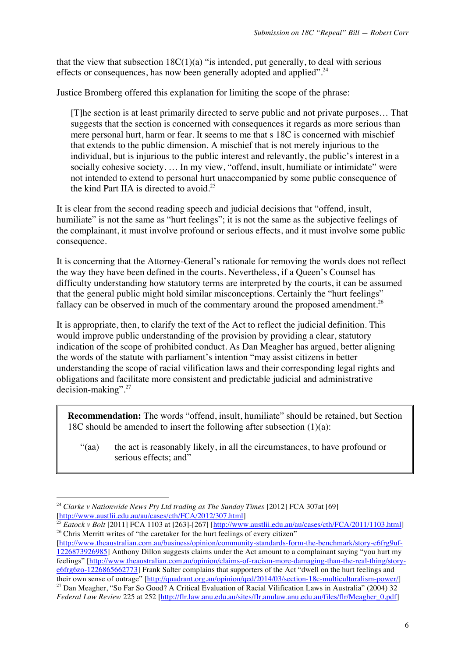that the view that subsection  $18C(1)(a)$  "is intended, put generally, to deal with serious effects or consequences, has now been generally adopted and applied".<sup>24</sup>

Justice Bromberg offered this explanation for limiting the scope of the phrase:

[T]he section is at least primarily directed to serve public and not private purposes… That suggests that the section is concerned with consequences it regards as more serious than mere personal hurt, harm or fear. It seems to me that s 18C is concerned with mischief that extends to the public dimension. A mischief that is not merely injurious to the individual, but is injurious to the public interest and relevantly, the public's interest in a socially cohesive society. … In my view, "offend, insult, humiliate or intimidate" were not intended to extend to personal hurt unaccompanied by some public consequence of the kind Part IIA is directed to avoid.<sup>25</sup>

It is clear from the second reading speech and judicial decisions that "offend, insult, humiliate" is not the same as "hurt feelings"; it is not the same as the subjective feelings of the complainant, it must involve profound or serious effects, and it must involve some public consequence.

It is concerning that the Attorney-General's rationale for removing the words does not reflect the way they have been defined in the courts. Nevertheless, if a Queen's Counsel has difficulty understanding how statutory terms are interpreted by the courts, it can be assumed that the general public might hold similar misconceptions. Certainly the "hurt feelings" fallacy can be observed in much of the commentary around the proposed amendment.<sup>26</sup>

It is appropriate, then, to clarify the text of the Act to reflect the judicial definition. This would improve public understanding of the provision by providing a clear, statutory indication of the scope of prohibited conduct. As Dan Meagher has argued, better aligning the words of the statute with parliament's intention "may assist citizens in better understanding the scope of racial vilification laws and their corresponding legal rights and obligations and facilitate more consistent and predictable judicial and administrative decision-making".27

**Recommendation:** The words "offend, insult, humiliate" should be retained, but Section 18C should be amended to insert the following after subsection (1)(a):

"(aa) the act is reasonably likely, in all the circumstances, to have profound or serious effects: and"

!!!!!!!!!!!!!!!!!!!!!!!!!!!!!!!!!!!!!!!!!!!!!!!!!!!!!!!

[http://www.theaustralian.com.au/business/opinion/community-standards-form-the-benchmark/story-e6frg9uf-1226873926985] Anthony Dillon suggests claims under the Act amount to a complainant saying "you hurt my feelings" [http://www.theaustralian.com.au/opinion/claims-of-racism-more-damaging-than-the-real-thing/storye6frg6zo-1226865662773] Frank Salter complains that supporters of the Act "dwell on the hurt feelings and their own sense of outrage" [http://quadrant.org.au/opinion/qed/2014/03/section-18c-multiculturalism-power/]

<sup>24</sup> *Clarke v Nationwide News Pty Ltd trading as The Sunday Times* [2012] FCA 307at [69] [http://www.austlii.edu.au/au/cases/cth/FCA/2012/307.html]

<sup>&</sup>lt;sup>25</sup> *Eatock v Bolt* [2011] FCA 1103 at [263]-[267] [http://www.austlii.edu.au/au/cases/cth/FCA/2011/1103.html] <sup>26</sup> Chris Merritt writes of "the caretaker for the hurt feelings of every citizen"

<sup>&</sup>lt;sup>27</sup> Dan Meagher, "So Far So Good? A Critical Evaluation of Racial Vilification Laws in Australia" (2004) 32 *Federal Law Review* 225 at 252 [http://flr.law.anu.edu.au/sites/flr.anulaw.anu.edu.au/files/flr/Meagher\_0.pdf]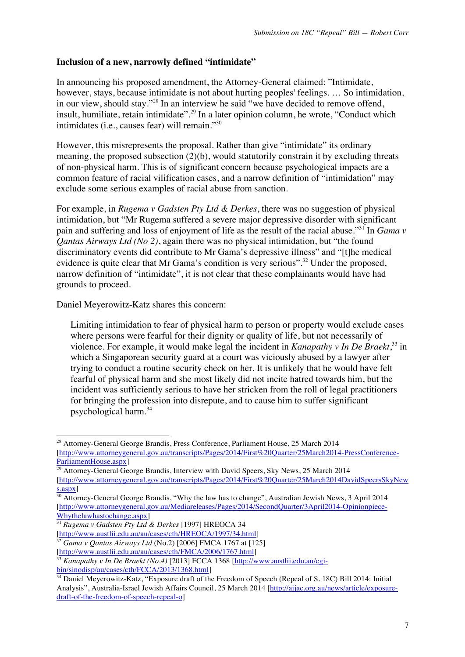## **Inclusion of a new, narrowly defined "intimidate"**

In announcing his proposed amendment, the Attorney-General claimed: "Intimidate, however, stays, because intimidate is not about hurting peoples' feelings. ... So intimidation, in our view, should stay."<sup>28</sup> In an interview he said "we have decided to remove offend, insult, humiliate, retain intimidate".<sup>29</sup> In a later opinion column, he wrote, "Conduct which intimidates (i.e., causes fear) will remain."30

However, this misrepresents the proposal. Rather than give "intimidate" its ordinary meaning, the proposed subsection (2)(b), would statutorily constrain it by excluding threats of non-physical harm. This is of significant concern because psychological impacts are a common feature of racial vilification cases, and a narrow definition of "intimidation" may exclude some serious examples of racial abuse from sanction.

For example, in *Rugema v Gadsten Pty Ltd & Derkes*, there was no suggestion of physical intimidation, but "Mr Rugema suffered a severe major depressive disorder with significant pain and suffering and loss of enjoyment of life as the result of the racial abuse."<sup>31</sup> In *Gama v Qantas Airways Ltd (No 2)*, again there was no physical intimidation, but "the found discriminatory events did contribute to Mr Gama's depressive illness" and "[t]he medical evidence is quite clear that Mr Gama's condition is very serious".<sup>32</sup> Under the proposed, narrow definition of "intimidate", it is not clear that these complainants would have had grounds to proceed.

Daniel Meyerowitz-Katz shares this concern:

!!!!!!!!!!!!!!!!!!!!!!!!!!!!!!!!!!!!!!!!!!!!!!!!!!!!!!!

Limiting intimidation to fear of physical harm to person or property would exclude cases where persons were fearful for their dignity or quality of life, but not necessarily of violence. For example, it would make legal the incident in *Kanapathy v In De Braekt*,<sup>33</sup> in which a Singaporean security guard at a court was viciously abused by a lawyer after trying to conduct a routine security check on her. It is unlikely that he would have felt fearful of physical harm and she most likely did not incite hatred towards him, but the incident was sufficiently serious to have her stricken from the roll of legal practitioners for bringing the profession into disrepute, and to cause him to suffer significant psychological harm.<sup>34</sup>

<sup>&</sup>lt;sup>28</sup> Attorney-General George Brandis, Press Conference, Parliament House, 25 March 2014 [http://www.attorneygeneral.gov.au/transcripts/Pages/2014/First%20Quarter/25March2014-PressConference-ParliamentHouse.aspx]

<sup>&</sup>lt;sup>29</sup> Attorney-General George Brandis, Interview with David Speers, Sky News, 25 March 2014 [http://www.attorneygeneral.gov.au/transcripts/Pages/2014/First%20Quarter/25March2014DavidSpeersSkyNew s.aspx]

<sup>&</sup>lt;sup>30</sup> Attorney-General George Brandis, "Why the law has to change", Australian Jewish News, 3 April 2014 [http://www.attorneygeneral.gov.au/Mediareleases/Pages/2014/SecondQuarter/3April2014-Opinionpiece-Whythelawhastochange.aspx]

<sup>31</sup> *Rugema v Gadsten Pty Ltd & Derkes* [1997] HREOCA 34 [http://www.austlii.edu.au/au/cases/cth/HREOCA/1997/34.html]

<sup>32</sup> *Gama v Qantas Airways Ltd* (No.2) [2006] FMCA 1767 at [125]

<sup>[</sup>http://www.austlii.edu.au/au/cases/cth/FMCA/2006/1767.html]

<sup>&</sup>lt;sup>33</sup> *Kanapathy v In De Braekt (No.4)* [2013] FCCA 1368 [http://www.austlii.edu.au/cgibin/sinodisp/au/cases/cth/FCCA/2013/1368.html]

<sup>&</sup>lt;sup>34</sup> Daniel Meyerowitz-Katz, "Exposure draft of the Freedom of Speech (Repeal of S. 18C) Bill 2014: Initial Analysis", Australia-Israel Jewish Affairs Council, 25 March 2014 [http://aijac.org.au/news/article/exposuredraft-of-the-freedom-of-speech-repeal-o]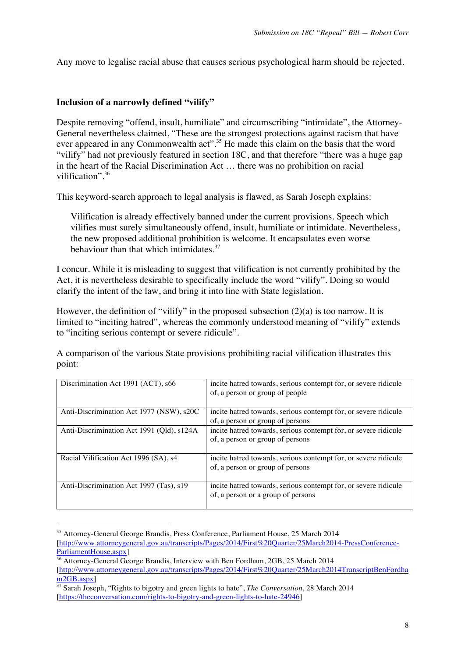Any move to legalise racial abuse that causes serious psychological harm should be rejected.

### **Inclusion of a narrowly defined "vilify"**

Despite removing "offend, insult, humiliate" and circumscribing "intimidate", the Attorney-General nevertheless claimed, "These are the strongest protections against racism that have ever appeared in any Commonwealth act".<sup>35</sup> He made this claim on the basis that the word "vilify" had not previously featured in section 18C, and that therefore "there was a huge gap in the heart of the Racial Discrimination Act … there was no prohibition on racial vilification". 36

This keyword-search approach to legal analysis is flawed, as Sarah Joseph explains:

Vilification is already effectively banned under the current provisions. Speech which vilifies must surely simultaneously offend, insult, humiliate or intimidate. Nevertheless, the new proposed additional prohibition is welcome. It encapsulates even worse behaviour than that which intimidates. $37$ 

I concur. While it is misleading to suggest that vilification is not currently prohibited by the Act, it is nevertheless desirable to specifically include the word "vilify". Doing so would clarify the intent of the law, and bring it into line with State legislation.

However, the definition of "vilify" in the proposed subsection  $(2)(a)$  is too narrow. It is limited to "inciting hatred", whereas the commonly understood meaning of "vilify" extends to "inciting serious contempt or severe ridicule".

A comparison of the various State provisions prohibiting racial vilification illustrates this point:

| Discrimination Act 1991 (ACT), s66        | incite hatred towards, serious contempt for, or severe ridicule<br>of, a person or group of people    |
|-------------------------------------------|-------------------------------------------------------------------------------------------------------|
| Anti-Discrimination Act 1977 (NSW), s20C  | incite hatred towards, serious contempt for, or severe ridicule<br>of, a person or group of persons   |
| Anti-Discrimination Act 1991 (Qld), s124A | incite hatred towards, serious contempt for, or severe ridicule<br>of, a person or group of persons   |
| Racial Vilification Act 1996 (SA), s4     | incite hatred towards, serious contempt for, or severe ridicule<br>of, a person or group of persons   |
| Anti-Discrimination Act 1997 (Tas), s19   | incite hatred towards, serious contempt for, or severe ridicule<br>of, a person or a group of persons |

<sup>!!!!!!!!!!!!!!!!!!!!!!!!!!!!!!!!!!!!!!!!!!!!!!!!!!!!!!!</sup> <sup>35</sup> Attorney-General George Brandis, Press Conference, Parliament House, 25 March 2014 [http://www.attorneygeneral.gov.au/transcripts/Pages/2014/First%20Quarter/25March2014-PressConference-ParliamentHouse.aspx]

<sup>36</sup> Attorney-General George Brandis, Interview with Ben Fordham, 2GB, 25 March 2014 [http://www.attorneygeneral.gov.au/transcripts/Pages/2014/First%20Quarter/25March2014TranscriptBenFordha m<sub>2GB</sub>.aspx]

<sup>&</sup>lt;sup>37</sup> Sarah Joseph, "Rights to bigotry and green lights to hate", *The Conversation*, 28 March 2014 [https://theconversation.com/rights-to-bigotry-and-green-lights-to-hate-24946]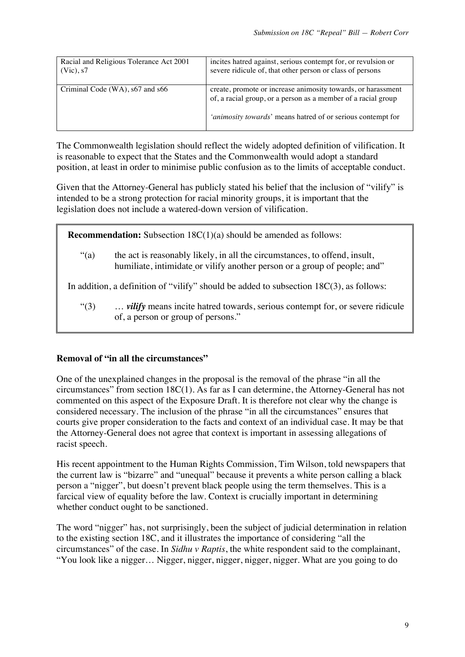| Racial and Religious Tolerance Act 2001 | incites hatred against, serious contempt for, or revulsion or                                                                                                                                |  |
|-----------------------------------------|----------------------------------------------------------------------------------------------------------------------------------------------------------------------------------------------|--|
| $(Vic)$ , s7                            | severe ridicule of, that other person or class of persons                                                                                                                                    |  |
| Criminal Code (WA), s67 and s66         | create, promote or increase animosity towards, or harassment<br>of, a racial group, or a person as a member of a racial group<br>'animosity towards' means hatred of or serious contempt for |  |

The Commonwealth legislation should reflect the widely adopted definition of vilification. It is reasonable to expect that the States and the Commonwealth would adopt a standard position, at least in order to minimise public confusion as to the limits of acceptable conduct.

Given that the Attorney-General has publicly stated his belief that the inclusion of "vilify" is intended to be a strong protection for racial minority groups, it is important that the legislation does not include a watered-down version of vilification.

**Recommendation:** Subsection 18C(1)(a) should be amended as follows:

"(a) the act is reasonably likely, in all the circumstances, to offend, insult, humiliate, intimidate or vilify another person or a group of people; and"

In addition, a definition of "vilify" should be added to subsection 18C(3), as follows:

"(3) … *vilify* means incite hatred towards, serious contempt for, or severe ridicule of, a person or group of persons."

# **Removal of "in all the circumstances"**

One of the unexplained changes in the proposal is the removal of the phrase "in all the circumstances" from section 18C(1). As far as I can determine, the Attorney-General has not commented on this aspect of the Exposure Draft. It is therefore not clear why the change is considered necessary. The inclusion of the phrase "in all the circumstances" ensures that courts give proper consideration to the facts and context of an individual case. It may be that the Attorney-General does not agree that context is important in assessing allegations of racist speech.

His recent appointment to the Human Rights Commission, Tim Wilson, told newspapers that the current law is "bizarre" and "unequal" because it prevents a white person calling a black person a "nigger", but doesn't prevent black people using the term themselves. This is a farcical view of equality before the law. Context is crucially important in determining whether conduct ought to be sanctioned.

The word "nigger" has, not surprisingly, been the subject of judicial determination in relation to the existing section 18C, and it illustrates the importance of considering "all the circumstances" of the case. In *Sidhu v Raptis*, the white respondent said to the complainant, "You look like a nigger… Nigger, nigger, nigger, nigger, nigger. What are you going to do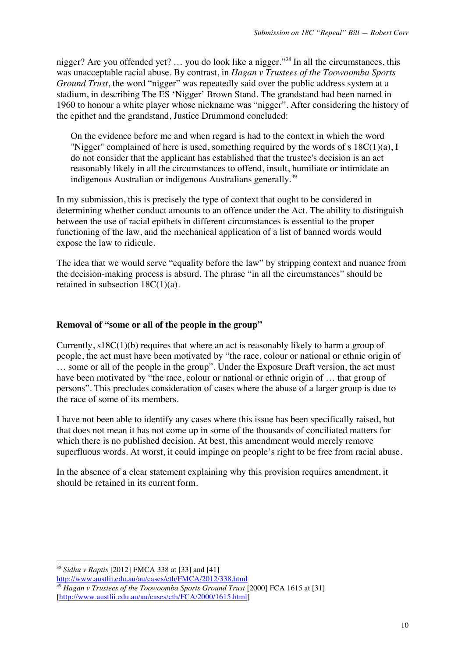nigger? Are you offended yet? … you do look like a nigger."<sup>38</sup> In all the circumstances, this was unacceptable racial abuse. By contrast, in *Hagan v Trustees of the Toowoomba Sports Ground Trust*, the word "nigger" was repeatedly said over the public address system at a stadium, in describing The ES 'Nigger' Brown Stand. The grandstand had been named in 1960 to honour a white player whose nickname was "nigger". After considering the history of the epithet and the grandstand, Justice Drummond concluded:

On the evidence before me and when regard is had to the context in which the word "Nigger" complained of here is used, something required by the words of s  $18C(1)(a)$ , I do not consider that the applicant has established that the trustee's decision is an act reasonably likely in all the circumstances to offend, insult, humiliate or intimidate an indigenous Australian or indigenous Australians generally.<sup>39</sup>

In my submission, this is precisely the type of context that ought to be considered in determining whether conduct amounts to an offence under the Act. The ability to distinguish between the use of racial epithets in different circumstances is essential to the proper functioning of the law, and the mechanical application of a list of banned words would expose the law to ridicule.

The idea that we would serve "equality before the law" by stripping context and nuance from the decision-making process is absurd. The phrase "in all the circumstances" should be retained in subsection 18C(1)(a).

### **Removal of "some or all of the people in the group"**

Currently, s18C(1)(b) requires that where an act is reasonably likely to harm a group of people, the act must have been motivated by "the race, colour or national or ethnic origin of … some or all of the people in the group". Under the Exposure Draft version, the act must have been motivated by "the race, colour or national or ethnic origin of ... that group of persons". This precludes consideration of cases where the abuse of a larger group is due to the race of some of its members.

I have not been able to identify any cases where this issue has been specifically raised, but that does not mean it has not come up in some of the thousands of conciliated matters for which there is no published decision. At best, this amendment would merely remove superfluous words. At worst, it could impinge on people's right to be free from racial abuse.

In the absence of a clear statement explaining why this provision requires amendment, it should be retained in its current form.

<sup>38</sup> *Sidhu v Raptis* [2012] FMCA 338 at [33] and [41] http://www.austlii.edu.au/au/cases/cth/FMCA/2012/338.html

<sup>39</sup> *Hagan v Trustees of the Toowoomba Sports Ground Trust* [2000] FCA 1615 at [31] [http://www.austlii.edu.au/au/cases/cth/FCA/2000/1615.html]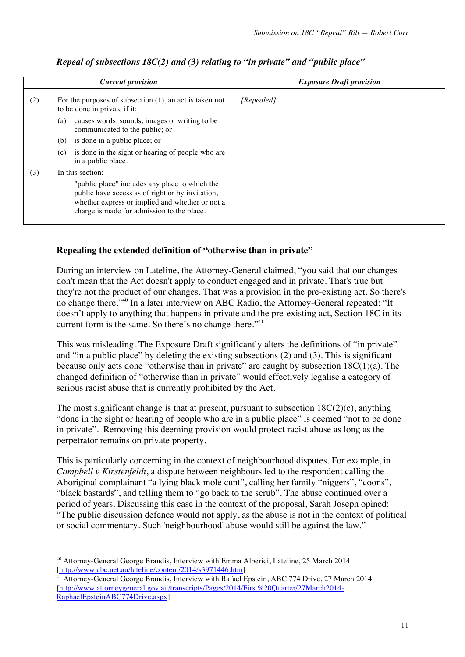|     | <b>Current provision</b>                                                                                                                                                                            | <b>Exposure Draft provision</b> |
|-----|-----------------------------------------------------------------------------------------------------------------------------------------------------------------------------------------------------|---------------------------------|
| (2) | For the purposes of subsection $(1)$ , an act is taken not<br>to be done in private if it:                                                                                                          | [Repealed]                      |
|     | causes words, sounds, images or writing to be<br>(a)<br>communicated to the public; or                                                                                                              |                                 |
|     | is done in a public place; or<br>(b)                                                                                                                                                                |                                 |
|     | is done in the sight or hearing of people who are<br>(c)<br>in a public place.                                                                                                                      |                                 |
| (3) | In this section:                                                                                                                                                                                    |                                 |
|     | "public place" includes any place to which the<br>public have access as of right or by invitation,<br>whether express or implied and whether or not a<br>charge is made for admission to the place. |                                 |

# *Repeal of subsections 18C(2) and (3) relating to "in private" and "public place"*

# **Repealing the extended definition of "otherwise than in private"**

During an interview on Lateline, the Attorney-General claimed, "you said that our changes don't mean that the Act doesn't apply to conduct engaged and in private. That's true but they're not the product of our changes. That was a provision in the pre-existing act. So there's no change there."40 In a later interview on ABC Radio, the Attorney-General repeated: "It doesn't apply to anything that happens in private and the pre-existing act, Section 18C in its current form is the same. So there's no change there."<sup>41</sup>

This was misleading. The Exposure Draft significantly alters the definitions of "in private" and "in a public place" by deleting the existing subsections (2) and (3). This is significant because only acts done "otherwise than in private" are caught by subsection  $18C(1)(a)$ . The changed definition of "otherwise than in private" would effectively legalise a category of serious racist abuse that is currently prohibited by the Act.

The most significant change is that at present, pursuant to subsection  $18C(2)(c)$ , anything "done in the sight or hearing of people who are in a public place" is deemed "not to be done in private". Removing this deeming provision would protect racist abuse as long as the perpetrator remains on private property.

This is particularly concerning in the context of neighbourhood disputes. For example, in *Campbell v Kirstenfeldt*, a dispute between neighbours led to the respondent calling the Aboriginal complainant "a lying black mole cunt", calling her family "niggers", "coons", "black bastards", and telling them to "go back to the scrub". The abuse continued over a period of years. Discussing this case in the context of the proposal, Sarah Joseph opined: "The public discussion defence would not apply, as the abuse is not in the context of political or social commentary. Such 'neighbourhood' abuse would still be against the law."

<sup>!!!!!!!!!!!!!!!!!!!!!!!!!!!!!!!!!!!!!!!!!!!!!!!!!!!!!!!</sup> <sup>40</sup> Attorney-General George Brandis, Interview with Emma Alberici, Lateline, 25 March 2014 [http://www.abc.net.au/lateline/content/2014/s3971446.htm]

<sup>&</sup>lt;sup>41</sup> Attorney-General George Brandis, Interview with Rafael Epstein, ABC 774 Drive, 27 March 2014 [http://www.attorneygeneral.gov.au/transcripts/Pages/2014/First%20Quarter/27March2014- RaphaelEpsteinABC774Drive.aspx]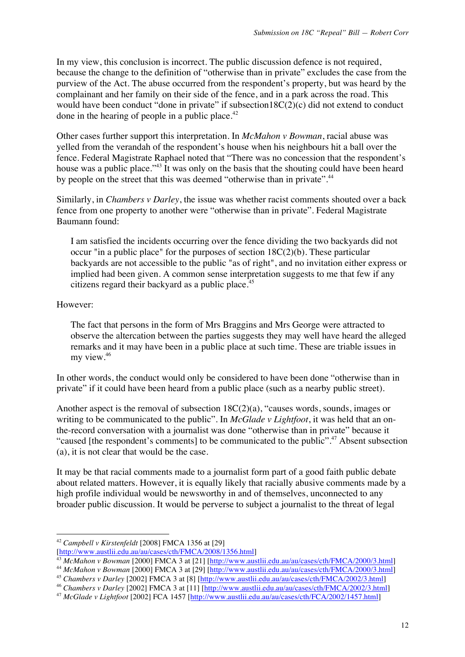In my view, this conclusion is incorrect. The public discussion defence is not required, because the change to the definition of "otherwise than in private" excludes the case from the purview of the Act. The abuse occurred from the respondent's property, but was heard by the complainant and her family on their side of the fence, and in a park across the road. This would have been conduct "done in private" if subsection18C(2)(c) did not extend to conduct done in the hearing of people in a public place. $42$ 

Other cases further support this interpretation. In *McMahon v Bowman*, racial abuse was yelled from the verandah of the respondent's house when his neighbours hit a ball over the fence. Federal Magistrate Raphael noted that "There was no concession that the respondent's house was a public place."<sup>43</sup> It was only on the basis that the shouting could have been heard by people on the street that this was deemed "otherwise than in private".44

Similarly, in *Chambers v Darley*, the issue was whether racist comments shouted over a back fence from one property to another were "otherwise than in private". Federal Magistrate Baumann found:

I am satisfied the incidents occurring over the fence dividing the two backyards did not occur "in a public place" for the purposes of section 18C(2)(b). These particular backyards are not accessible to the public "as of right", and no invitation either express or implied had been given. A common sense interpretation suggests to me that few if any citizens regard their backyard as a public place.<sup>45</sup>

However:

The fact that persons in the form of Mrs Braggins and Mrs George were attracted to observe the altercation between the parties suggests they may well have heard the alleged remarks and it may have been in a public place at such time. These are triable issues in my view.<sup>46</sup>

In other words, the conduct would only be considered to have been done "otherwise than in private" if it could have been heard from a public place (such as a nearby public street).

Another aspect is the removal of subsection 18C(2)(a), "causes words, sounds, images or writing to be communicated to the public". In *McGlade v Lightfoot*, it was held that an onthe-record conversation with a journalist was done "otherwise than in private" because it "caused [the respondent's comments] to be communicated to the public".<sup>47</sup> Absent subsection (a), it is not clear that would be the case.

It may be that racial comments made to a journalist form part of a good faith public debate about related matters. However, it is equally likely that racially abusive comments made by a high profile individual would be newsworthy in and of themselves, unconnected to any broader public discussion. It would be perverse to subject a journalist to the threat of legal

<sup>42</sup> *Campbell v Kirstenfeldt* [2008] FMCA 1356 at [29]

<sup>[</sup>http://www.austlii.edu.au/au/cases/cth/FMCA/2008/1356.html]

<sup>43</sup> *McMahon v Bowman* [2000] FMCA 3 at [21] [http://www.austlii.edu.au/au/cases/cth/FMCA/2000/3.html]

<sup>44</sup> *McMahon v Bowman* [2000] FMCA 3 at [29] [http://www.austlii.edu.au/au/cases/cth/FMCA/2000/3.html]

<sup>45</sup> *Chambers v Darley* [2002] FMCA 3 at [8] [http://www.austlii.edu.au/au/cases/cth/FMCA/2002/3.html]

<sup>46</sup> *Chambers v Darley* [2002] FMCA 3 at [11] [http://www.austlii.edu.au/au/cases/cth/FMCA/2002/3.html]

<sup>47</sup> *McGlade v Lightfoot* [2002] FCA 1457 [http://www.austlii.edu.au/au/cases/cth/FCA/2002/1457.html]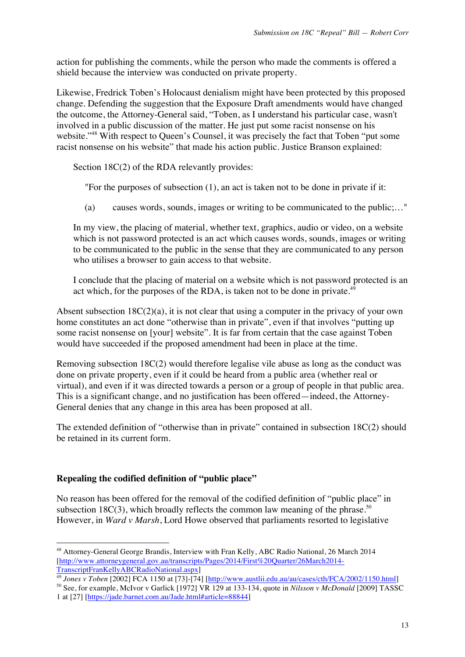action for publishing the comments, while the person who made the comments is offered a shield because the interview was conducted on private property.

Likewise, Fredrick Toben's Holocaust denialism might have been protected by this proposed change. Defending the suggestion that the Exposure Draft amendments would have changed the outcome, the Attorney-General said, "Toben, as I understand his particular case, wasn't involved in a public discussion of the matter. He just put some racist nonsense on his website."<sup>48</sup> With respect to Queen's Counsel, it was precisely the fact that Toben "put some racist nonsense on his website" that made his action public. Justice Branson explained:

Section 18C(2) of the RDA relevantly provides:

"For the purposes of subsection (1), an act is taken not to be done in private if it:

(a) causes words, sounds, images or writing to be communicated to the public;…"

In my view, the placing of material, whether text, graphics, audio or video, on a website which is not password protected is an act which causes words, sounds, images or writing to be communicated to the public in the sense that they are communicated to any person who utilises a browser to gain access to that website.

I conclude that the placing of material on a website which is not password protected is an act which, for the purposes of the RDA, is taken not to be done in private.<sup>49</sup>

Absent subsection  $18C(2)(a)$ , it is not clear that using a computer in the privacy of your own home constitutes an act done "otherwise than in private", even if that involves "putting up some racist nonsense on [your] website". It is far from certain that the case against Toben would have succeeded if the proposed amendment had been in place at the time.

Removing subsection 18C(2) would therefore legalise vile abuse as long as the conduct was done on private property, even if it could be heard from a public area (whether real or virtual), and even if it was directed towards a person or a group of people in that public area. This is a significant change, and no justification has been offered—indeed, the Attorney-General denies that any change in this area has been proposed at all.

The extended definition of "otherwise than in private" contained in subsection 18C(2) should be retained in its current form.

# **Repealing the codified definition of "public place"**

!!!!!!!!!!!!!!!!!!!!!!!!!!!!!!!!!!!!!!!!!!!!!!!!!!!!!!!

No reason has been offered for the removal of the codified definition of "public place" in subsection 18C(3), which broadly reflects the common law meaning of the phrase.<sup>50</sup> However, in *Ward v Marsh*, Lord Howe observed that parliaments resorted to legislative

<sup>48</sup> Attorney-General George Brandis, Interview with Fran Kelly, ABC Radio National, 26 March 2014 [http://www.attorneygeneral.gov.au/transcripts/Pages/2014/First%20Quarter/26March2014- TranscriptFranKellyABCRadioNational.aspx]

<sup>49</sup> *Jones v Toben* [2002] FCA 1150 at [73]-[74] [http://www.austlii.edu.au/au/cases/cth/FCA/2002/1150.html]

<sup>50</sup> See, for example, McIvor v Garlick [1972] VR 129 at 133-134, quote in *Nilsson v McDonald* [2009] TASSC 1 at [27] [https://jade.barnet.com.au/Jade.html#article=88844]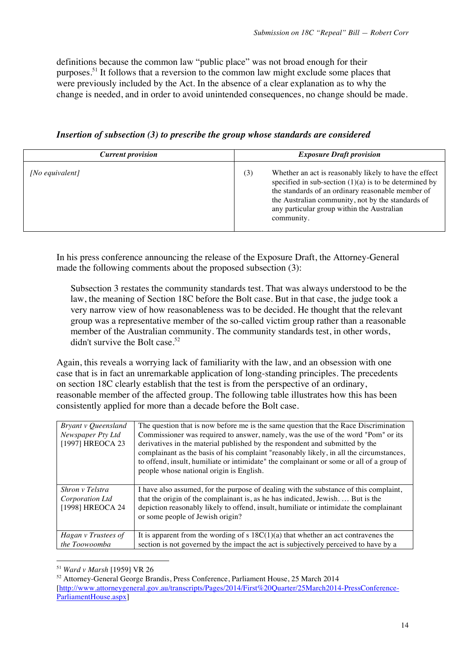definitions because the common law "public place" was not broad enough for their purposes.51 It follows that a reversion to the common law might exclude some places that were previously included by the Act. In the absence of a clear explanation as to why the change is needed, and in order to avoid unintended consequences, no change should be made.

| <b>Current provision</b> | <b>Exposure Draft provision</b>                                                                                                                                                                                                                                                                 |  |  |
|--------------------------|-------------------------------------------------------------------------------------------------------------------------------------------------------------------------------------------------------------------------------------------------------------------------------------------------|--|--|
| [No equivalent]          | Whether an act is reasonably likely to have the effect<br>(3)<br>specified in sub-section $(1)(a)$ is to be determined by<br>the standards of an ordinary reasonable member of<br>the Australian community, not by the standards of<br>any particular group within the Australian<br>community. |  |  |

*Insertion of subsection (3) to prescribe the group whose standards are considered*

In his press conference announcing the release of the Exposure Draft, the Attorney-General made the following comments about the proposed subsection (3):

Subsection 3 restates the community standards test. That was always understood to be the law, the meaning of Section 18C before the Bolt case. But in that case, the judge took a very narrow view of how reasonableness was to be decided. He thought that the relevant group was a representative member of the so-called victim group rather than a reasonable member of the Australian community. The community standards test, in other words, didn't survive the Bolt case.<sup>52</sup>

Again, this reveals a worrying lack of familiarity with the law, and an obsession with one case that is in fact an unremarkable application of long-standing principles. The precedents on section 18C clearly establish that the test is from the perspective of an ordinary, reasonable member of the affected group. The following table illustrates how this has been consistently applied for more than a decade before the Bolt case.

| Bryant v Queensland<br>Newspaper Pty Ltd<br>[1997] HREOCA 23 | The question that is now before me is the same question that the Race Discrimination<br>Commissioner was required to answer, namely, was the use of the word "Pom" or its<br>derivatives in the material published by the respondent and submitted by the<br>complainant as the basis of his complaint "reasonably likely, in all the circumstances,<br>to offend, insult, humiliate or intimidate" the complainant or some or all of a group of<br>people whose national origin is English. |
|--------------------------------------------------------------|----------------------------------------------------------------------------------------------------------------------------------------------------------------------------------------------------------------------------------------------------------------------------------------------------------------------------------------------------------------------------------------------------------------------------------------------------------------------------------------------|
| Shron v Telstra<br>Corporation Ltd<br>[1998] HREOCA 24       | I have also assumed, for the purpose of dealing with the substance of this complaint,<br>that the origin of the complainant is, as he has indicated, Jewish.  But is the<br>depiction reasonably likely to offend, insult, humiliate or intimidate the complainant<br>or some people of Jewish origin?                                                                                                                                                                                       |
| Hagan v Trustees of<br>the Toowoomba                         | It is apparent from the wording of s $18C(1)(a)$ that whether an act contravenes the<br>section is not governed by the impact the act is subjectively perceived to have by a                                                                                                                                                                                                                                                                                                                 |

<sup>51</sup> *Ward v Marsh* [1959] VR 26

<sup>52</sup> Attorney-General George Brandis, Press Conference, Parliament House, 25 March 2014 [http://www.attorneygeneral.gov.au/transcripts/Pages/2014/First%20Quarter/25March2014-PressConference-ParliamentHouse.aspx]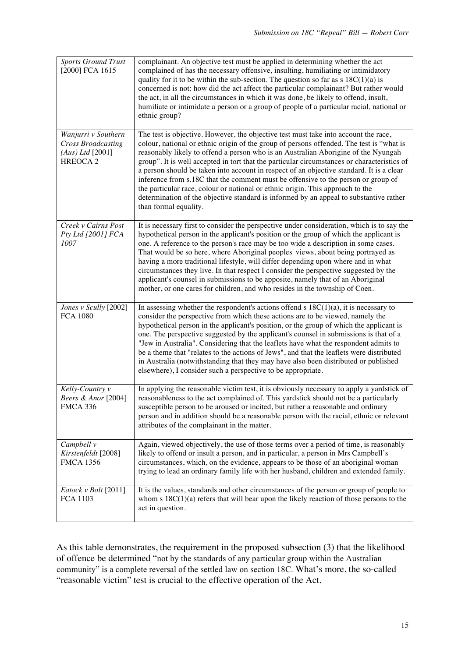| <b>Sports Ground Trust</b><br>[2000] FCA 1615                                           | complainant. An objective test must be applied in determining whether the act<br>complained of has the necessary offensive, insulting, humiliating or intimidatory<br>quality for it to be within the sub-section. The question so far as $s$ 18C(1)(a) is<br>concerned is not: how did the act affect the particular complainant? But rather would<br>the act, in all the circumstances in which it was done, be likely to offend, insult,<br>humiliate or intimidate a person or a group of people of a particular racial, national or<br>ethnic group?                                                                                                                                                                                                  |
|-----------------------------------------------------------------------------------------|------------------------------------------------------------------------------------------------------------------------------------------------------------------------------------------------------------------------------------------------------------------------------------------------------------------------------------------------------------------------------------------------------------------------------------------------------------------------------------------------------------------------------------------------------------------------------------------------------------------------------------------------------------------------------------------------------------------------------------------------------------|
| Wanjurri v Southern<br><b>Cross Broadcasting</b><br>(Aus) Ltd [2001]<br><b>HREOCA 2</b> | The test is objective. However, the objective test must take into account the race,<br>colour, national or ethnic origin of the group of persons offended. The test is "what is<br>reasonably likely to offend a person who is an Australian Aborigine of the Nyungah<br>group". It is well accepted in tort that the particular circumstances or characteristics of<br>a person should be taken into account in respect of an objective standard. It is a clear<br>inference from s.18C that the comment must be offensive to the person or group of<br>the particular race, colour or national or ethnic origin. This approach to the<br>determination of the objective standard is informed by an appeal to substantive rather<br>than formal equality. |
| Creek v Cairns Post<br>Pty Ltd [2001] FCA<br>1007                                       | It is necessary first to consider the perspective under consideration, which is to say the<br>hypothetical person in the applicant's position or the group of which the applicant is<br>one. A reference to the person's race may be too wide a description in some cases.<br>That would be so here, where Aboriginal peoples' views, about being portrayed as<br>having a more traditional lifestyle, will differ depending upon where and in what<br>circumstances they live. In that respect I consider the perspective suggested by the<br>applicant's counsel in submissions to be apposite, namely that of an Aboriginal<br>mother, or one cares for children, and who resides in the township of Coen.                                              |
| Jones v Scully [2002]<br><b>FCA 1080</b>                                                | In assessing whether the respondent's actions offend $s$ 18C(1)(a), it is necessary to<br>consider the perspective from which these actions are to be viewed, namely the<br>hypothetical person in the applicant's position, or the group of which the applicant is<br>one. The perspective suggested by the applicant's counsel in submissions is that of a<br>"Jew in Australia". Considering that the leaflets have what the respondent admits to<br>be a theme that "relates to the actions of Jews", and that the leaflets were distributed<br>in Australia (notwithstanding that they may have also been distributed or published<br>elsewhere), I consider such a perspective to be appropriate.                                                    |
| Kelly-Country v<br>Beers & Anor [2004]<br><b>FMCA 336</b>                               | In applying the reasonable victim test, it is obviously necessary to apply a yardstick of<br>reasonableness to the act complained of. This yardstick should not be a particularly<br>susceptible person to be aroused or incited, but rather a reasonable and ordinary<br>person and in addition should be a reasonable person with the racial, ethnic or relevant<br>attributes of the complainant in the matter.                                                                                                                                                                                                                                                                                                                                         |
| Campbell v<br>Kirstenfeldt [2008]<br><b>FMCA 1356</b>                                   | Again, viewed objectively, the use of those terms over a period of time, is reasonably<br>likely to offend or insult a person, and in particular, a person in Mrs Campbell's<br>circumstances, which, on the evidence, appears to be those of an aboriginal woman<br>trying to lead an ordinary family life with her husband, children and extended family.                                                                                                                                                                                                                                                                                                                                                                                                |
| Eatock v Bolt [2011]<br>FCA 1103                                                        | It is the values, standards and other circumstances of the person or group of people to<br>whom $s$ 18C(1)(a) refers that will bear upon the likely reaction of those persons to the<br>act in question.                                                                                                                                                                                                                                                                                                                                                                                                                                                                                                                                                   |

As this table demonstrates, the requirement in the proposed subsection (3) that the likelihood of offence be determined "not by the standards of any particular group within the Australian community" is a complete reversal of the settled law on section 18C. What's more, the so-called "reasonable victim" test is crucial to the effective operation of the Act.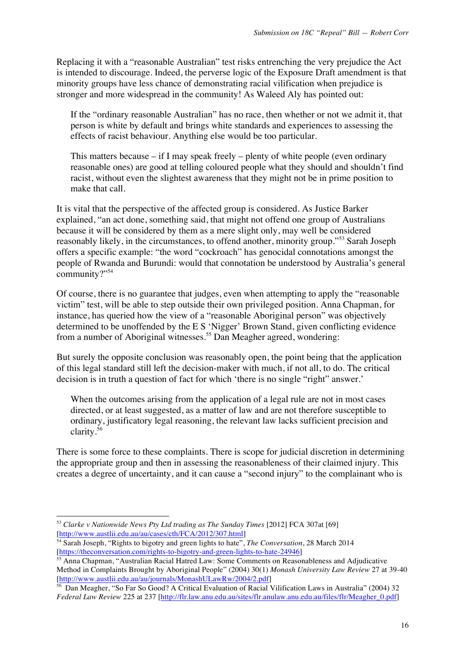Replacing it with a "reasonable Australian" test risks entrenching the very prejudice the Act is intended to discourage. Indeed, the perverse logic of the Exposure Draft amendment is that minority groups have less chance of demonstrating racial vilification when prejudice is stronger and more widespread in the community! As Waleed Aly has pointed out:

If the "ordinary reasonable Australian" has no race, then whether or not we admit it, that person is white by default and brings white standards and experiences to assessing the effects of racist behaviour. Anything else would be too particular.

This matters because – if I may speak freely – plenty of white people (even ordinary reasonable ones) are good at telling coloured people what they should and shouldn't find racist, without even the slightest awareness that they might not be in prime position to make that call.

It is vital that the perspective of the affected group is considered. As Justice Barker explained, "an act done, something said, that might not offend one group of Australians because it will be considered by them as a mere slight only, may well be considered reasonably likely, in the circumstances, to offend another, minority group."<sup>53</sup> Sarah Joseph offers a specific example: "the word "cockroach" has genocidal connotations amongst the people of Rwanda and Burundi: would that connotation be understood by Australia's general community?"54

Of course, there is no guarantee that judges, even when attempting to apply the "reasonable victim" test, will be able to step outside their own privileged position. Anna Chapman, for instance, has queried how the view of a "reasonable Aboriginal person" was objectively determined to be unoffended by the E S 'Nigger' Brown Stand, given conflicting evidence from a number of Aboriginal witnesses.<sup>55</sup> Dan Meagher agreed, wondering:

But surely the opposite conclusion was reasonably open, the point being that the application of this legal standard still left the decision-maker with much, if not all, to do. The critical decision is in truth a question of fact for which 'there is no single "right" answer.'

When the outcomes arising from the application of a legal rule are not in most cases directed, or at least suggested, as a matter of law and are not therefore susceptible to ordinary, justificatory legal reasoning, the relevant law lacks sufficient precision and clarity.<sup>56</sup>

There is some force to these complaints. There is scope for judicial discretion in determining the appropriate group and then in assessing the reasonableness of their claimed injury. This creates a degree of uncertainty, and it can cause a "second injury" to the complainant who is

<sup>53</sup> *Clarke v Nationwide News Pty Ltd trading as The Sunday Times* [2012] FCA 307at [69] [http://www.austlii.edu.au/au/cases/cth/FCA/2012/307.html]

<sup>54</sup> Sarah Joseph, "Rights to bigotry and green lights to hate", *The Conversation*, 28 March 2014 [https://theconversation.com/rights-to-bigotry-and-green-lights-to-hate-24946]

<sup>&</sup>lt;sup>55</sup> Anna Chapman, "Australian Racial Hatred Law: Some Comments on Reasonableness and Adjudicative Method in Complaints Brought by Aboriginal People" (2004) 30(1) *Monash University Law Review* 27 at 39-40 [http://www.austlii.edu.au/au/journals/MonashULawRw/2004/2.pdf]

<sup>56</sup> Dan Meagher, "So Far So Good? A Critical Evaluation of Racial Vilification Laws in Australia" (2004) 32 *Federal Law Review* 225 at 237 [http://flr.law.anu.edu.au/sites/flr.anulaw.anu.edu.au/files/flr/Meagher\_0.pdf]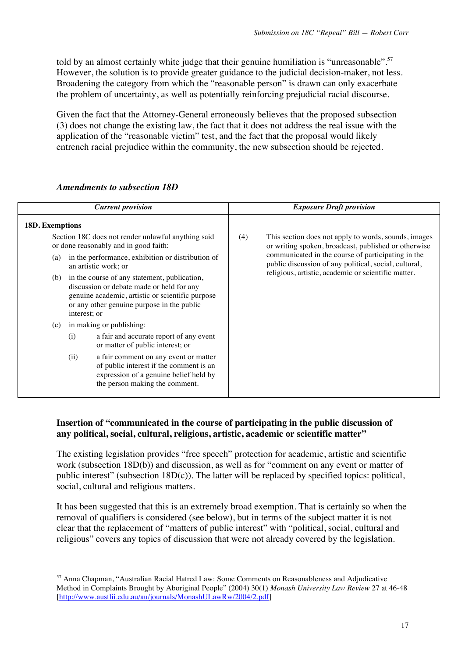told by an almost certainly white judge that their genuine humiliation is "unreasonable".<sup>57</sup> However, the solution is to provide greater guidance to the judicial decision-maker, not less. Broadening the category from which the "reasonable person" is drawn can only exacerbate the problem of uncertainty, as well as potentially reinforcing prejudicial racial discourse.

Given the fact that the Attorney-General erroneously believes that the proposed subsection (3) does not change the existing law, the fact that it does not address the real issue with the application of the "reasonable victim" test, and the fact that the proposal would likely entrench racial prejudice within the community, the new subsection should be rejected.

|                                                                                                                                                                                                                                                            | <b>Current provision</b>                                                                                                                                                                    |                                                     | <b>Exposure Draft provision</b>                                                                              |
|------------------------------------------------------------------------------------------------------------------------------------------------------------------------------------------------------------------------------------------------------------|---------------------------------------------------------------------------------------------------------------------------------------------------------------------------------------------|-----------------------------------------------------|--------------------------------------------------------------------------------------------------------------|
| <b>18D. Exemptions</b>                                                                                                                                                                                                                                     |                                                                                                                                                                                             |                                                     |                                                                                                              |
|                                                                                                                                                                                                                                                            | Section 18C does not render unlawful anything said<br>or done reasonably and in good faith:<br>in the performance, exhibition or distribution of<br>(a)<br>an artistic work; or             |                                                     | This section does not apply to words, sounds, images<br>or writing spoken, broadcast, published or otherwise |
|                                                                                                                                                                                                                                                            |                                                                                                                                                                                             |                                                     | communicated in the course of participating in the<br>public discussion of any political, social, cultural,  |
| (b)<br>interest; or                                                                                                                                                                                                                                        | in the course of any statement, publication,<br>discussion or debate made or held for any<br>genuine academic, artistic or scientific purpose<br>or any other genuine purpose in the public | religious, artistic, academic or scientific matter. |                                                                                                              |
| (c)                                                                                                                                                                                                                                                        | in making or publishing:                                                                                                                                                                    |                                                     |                                                                                                              |
| a fair and accurate report of any event<br>(i)<br>or matter of public interest; or<br>a fair comment on any event or matter<br>(ii)<br>of public interest if the comment is an<br>expression of a genuine belief held by<br>the person making the comment. |                                                                                                                                                                                             |                                                     |                                                                                                              |
|                                                                                                                                                                                                                                                            |                                                                                                                                                                                             |                                                     |                                                                                                              |

### *Amendments to subsection 18D*

!!!!!!!!!!!!!!!!!!!!!!!!!!!!!!!!!!!!!!!!!!!!!!!!!!!!!!!

# **Insertion of "communicated in the course of participating in the public discussion of any political, social, cultural, religious, artistic, academic or scientific matter"**

The existing legislation provides "free speech" protection for academic, artistic and scientific work (subsection 18D(b)) and discussion, as well as for "comment on any event or matter of public interest" (subsection 18D(c)). The latter will be replaced by specified topics: political, social, cultural and religious matters.

It has been suggested that this is an extremely broad exemption. That is certainly so when the removal of qualifiers is considered (see below), but in terms of the subject matter it is not clear that the replacement of "matters of public interest" with "political, social, cultural and religious" covers any topics of discussion that were not already covered by the legislation.

<sup>57</sup> Anna Chapman, "Australian Racial Hatred Law: Some Comments on Reasonableness and Adjudicative Method in Complaints Brought by Aboriginal People" (2004) 30(1) *Monash University Law Review* 27 at 46-48 [http://www.austlii.edu.au/au/journals/MonashULawRw/2004/2.pdf]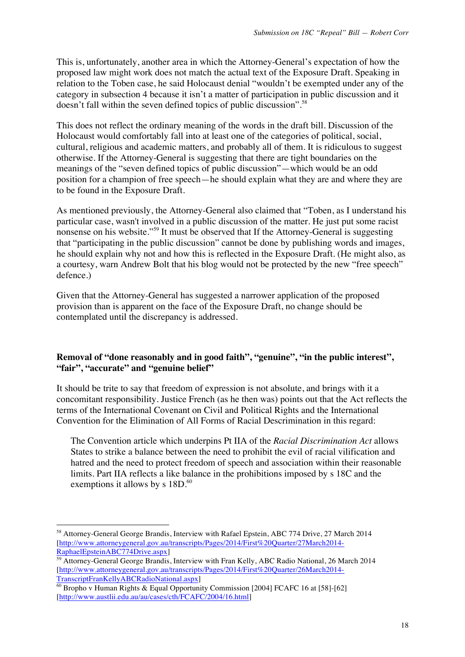This is, unfortunately, another area in which the Attorney-General's expectation of how the proposed law might work does not match the actual text of the Exposure Draft. Speaking in relation to the Toben case, he said Holocaust denial "wouldn't be exempted under any of the category in subsection 4 because it isn't a matter of participation in public discussion and it doesn't fall within the seven defined topics of public discussion".<sup>58</sup>

This does not reflect the ordinary meaning of the words in the draft bill. Discussion of the Holocaust would comfortably fall into at least one of the categories of political, social, cultural, religious and academic matters, and probably all of them. It is ridiculous to suggest otherwise. If the Attorney-General is suggesting that there are tight boundaries on the meanings of the "seven defined topics of public discussion"—which would be an odd position for a champion of free speech—he should explain what they are and where they are to be found in the Exposure Draft.

As mentioned previously, the Attorney-General also claimed that "Toben, as I understand his particular case, wasn't involved in a public discussion of the matter. He just put some racist nonsense on his website."<sup>59</sup> It must be observed that If the Attorney-General is suggesting that "participating in the public discussion" cannot be done by publishing words and images, he should explain why not and how this is reflected in the Exposure Draft. (He might also, as a courtesy, warn Andrew Bolt that his blog would not be protected by the new "free speech" defence.)

Given that the Attorney-General has suggested a narrower application of the proposed provision than is apparent on the face of the Exposure Draft, no change should be contemplated until the discrepancy is addressed.

# **Removal of "done reasonably and in good faith", "genuine", "in the public interest", "fair", "accurate" and "genuine belief"**

It should be trite to say that freedom of expression is not absolute, and brings with it a concomitant responsibility. Justice French (as he then was) points out that the Act reflects the terms of the International Covenant on Civil and Political Rights and the International Convention for the Elimination of All Forms of Racial Descrimination in this regard:

The Convention article which underpins Pt IIA of the *Racial Discrimination Act* allows States to strike a balance between the need to prohibit the evil of racial vilification and hatred and the need to protect freedom of speech and association within their reasonable limits. Part IIA reflects a like balance in the prohibitions imposed by s 18C and the exemptions it allows by s  $18D<sup>60</sup>$ 

<sup>58</sup> Attorney-General George Brandis, Interview with Rafael Epstein, ABC 774 Drive, 27 March 2014 [http://www.attorneygeneral.gov.au/transcripts/Pages/2014/First%20Quarter/27March2014- RaphaelEpsteinABC774Drive.aspx]

<sup>59</sup> Attorney-General George Brandis, Interview with Fran Kelly, ABC Radio National, 26 March 2014 [http://www.attorneygeneral.gov.au/transcripts/Pages/2014/First%20Quarter/26March2014- TranscriptFranKellyABCRadioNational.aspx]

 $\frac{60}{60}$  Bropho v Human Rights & Equal Opportunity Commission [2004] FCAFC 16 at [58]-[62] [http://www.austlii.edu.au/au/cases/cth/FCAFC/2004/16.html]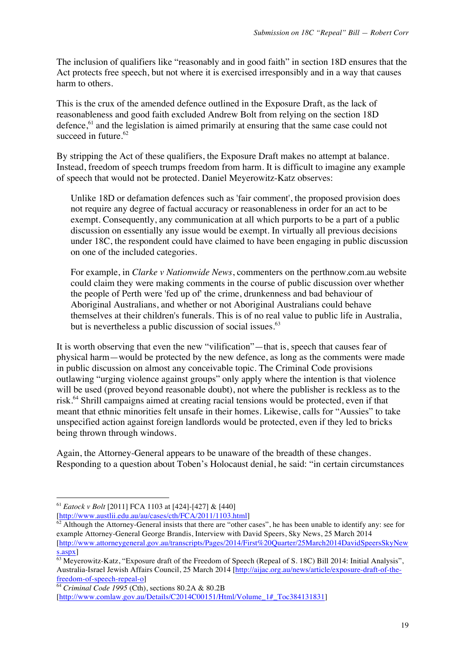The inclusion of qualifiers like "reasonably and in good faith" in section 18D ensures that the Act protects free speech, but not where it is exercised irresponsibly and in a way that causes harm to others.

This is the crux of the amended defence outlined in the Exposure Draft, as the lack of reasonableness and good faith excluded Andrew Bolt from relying on the section 18D defence,<sup>61</sup> and the legislation is aimed primarily at ensuring that the same case could not succeed in future. $62$ 

By stripping the Act of these qualifiers, the Exposure Draft makes no attempt at balance. Instead, freedom of speech trumps freedom from harm. It is difficult to imagine any example of speech that would not be protected. Daniel Meyerowitz-Katz observes:

Unlike 18D or defamation defences such as 'fair comment', the proposed provision does not require any degree of factual accuracy or reasonableness in order for an act to be exempt. Consequently, any communication at all which purports to be a part of a public discussion on essentially any issue would be exempt. In virtually all previous decisions under 18C, the respondent could have claimed to have been engaging in public discussion on one of the included categories.

For example, in *Clarke v Nationwide News*, commenters on the perthnow.com.au website could claim they were making comments in the course of public discussion over whether the people of Perth were 'fed up of' the crime, drunkenness and bad behaviour of Aboriginal Australians, and whether or not Aboriginal Australians could behave themselves at their children's funerals. This is of no real value to public life in Australia, but is nevertheless a public discussion of social issues.<sup>63</sup>

It is worth observing that even the new "vilification"—that is, speech that causes fear of physical harm—would be protected by the new defence, as long as the comments were made in public discussion on almost any conceivable topic. The Criminal Code provisions outlawing "urging violence against groups" only apply where the intention is that violence will be used (proved beyond reasonable doubt), not where the publisher is reckless as to the risk.<sup>64</sup> Shrill campaigns aimed at creating racial tensions would be protected, even if that meant that ethnic minorities felt unsafe in their homes. Likewise, calls for "Aussies" to take unspecified action against foreign landlords would be protected, even if they led to bricks being thrown through windows.

Again, the Attorney-General appears to be unaware of the breadth of these changes. Responding to a question about Toben's Holocaust denial, he said: "in certain circumstances

!!!!!!!!!!!!!!!!!!!!!!!!!!!!!!!!!!!!!!!!!!!!!!!!!!!!!!!

[http://www.austlii.edu.au/au/cases/cth/FCA/2011/1103.html]

<sup>64</sup> *Criminal Code 1995* (Cth), sections 80.2A & 80.2B

<sup>61</sup> *Eatock v Bolt* [2011] FCA 1103 at [424]-[427] & [440]

 $62$  Although the Attorney-General insists that there are "other cases", he has been unable to identify any: see for example Attorney-General George Brandis, Interview with David Speers, Sky News, 25 March 2014 [http://www.attorneygeneral.gov.au/transcripts/Pages/2014/First%20Quarter/25March2014DavidSpeersSkyNew s.aspx]

<sup>63</sup> Meyerowitz-Katz, "Exposure draft of the Freedom of Speech (Repeal of S. 18C) Bill 2014: Initial Analysis", Australia-Israel Jewish Affairs Council, 25 March 2014 [http://aijac.org.au/news/article/exposure-draft-of-thefreedom-of-speech-repeal-o]

<sup>[</sup>http://www.comlaw.gov.au/Details/C2014C00151/Html/Volume\_1#\_Toc384131831]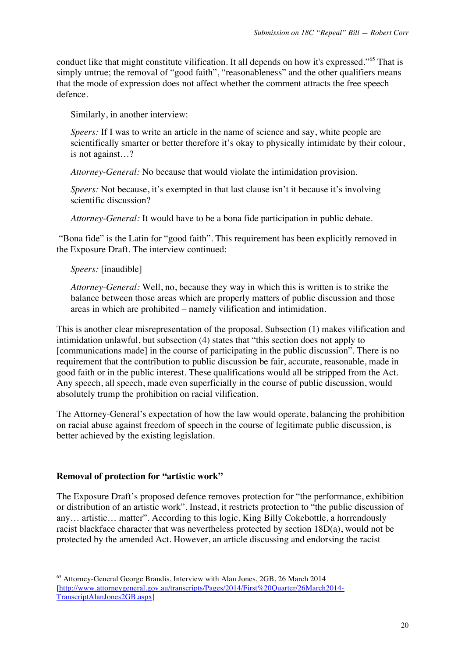conduct like that might constitute vilification. It all depends on how it's expressed."<sup>65</sup> That is simply untrue; the removal of "good faith", "reasonableness" and the other qualifiers means that the mode of expression does not affect whether the comment attracts the free speech defence.

Similarly, in another interview:

*Speers:* If I was to write an article in the name of science and say, white people are scientifically smarter or better therefore it's okay to physically intimidate by their colour, is not against…?

*Attorney-General:* No because that would violate the intimidation provision.

*Speers:* Not because, it's exempted in that last clause isn't it because it's involving scientific discussion?

*Attorney-General:* It would have to be a bona fide participation in public debate.

"Bona fide" is the Latin for "good faith". This requirement has been explicitly removed in the Exposure Draft. The interview continued:

### *Speers:* [inaudible]

*Attorney-General:* Well, no, because they way in which this is written is to strike the balance between those areas which are properly matters of public discussion and those areas in which are prohibited – namely vilification and intimidation.

This is another clear misrepresentation of the proposal. Subsection (1) makes vilification and intimidation unlawful, but subsection (4) states that "this section does not apply to [communications made] in the course of participating in the public discussion". There is no requirement that the contribution to public discussion be fair, accurate, reasonable, made in good faith or in the public interest. These qualifications would all be stripped from the Act. Any speech, all speech, made even superficially in the course of public discussion, would absolutely trump the prohibition on racial vilification.

The Attorney-General's expectation of how the law would operate, balancing the prohibition on racial abuse against freedom of speech in the course of legitimate public discussion, is better achieved by the existing legislation.

# **Removal of protection for "artistic work"**

!!!!!!!!!!!!!!!!!!!!!!!!!!!!!!!!!!!!!!!!!!!!!!!!!!!!!!!

The Exposure Draft's proposed defence removes protection for "the performance, exhibition or distribution of an artistic work". Instead, it restricts protection to "the public discussion of any… artistic… matter". According to this logic, King Billy Cokebottle, a horrendously racist blackface character that was nevertheless protected by section 18D(a), would not be protected by the amended Act. However, an article discussing and endorsing the racist

<sup>65</sup> Attorney-General George Brandis, Interview with Alan Jones, 2GB, 26 March 2014 [http://www.attorneygeneral.gov.au/transcripts/Pages/2014/First%20Quarter/26March2014- TranscriptAlanJones2GB.aspx]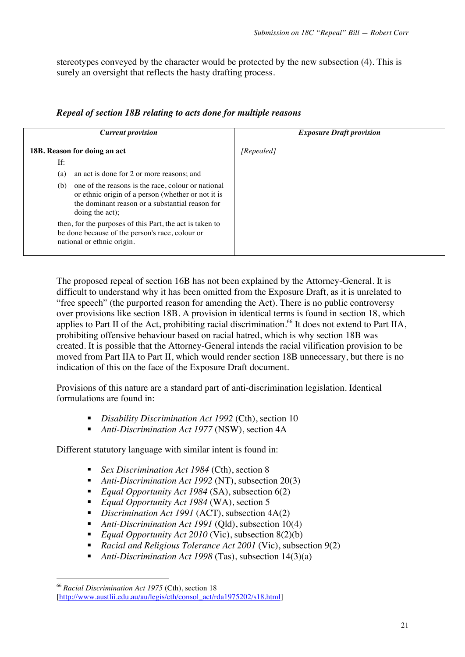stereotypes conveyed by the character would be protected by the new subsection (4). This is surely an oversight that reflects the hasty drafting process.

|  |  | Repeal of section 18B relating to acts done for multiple reasons |
|--|--|------------------------------------------------------------------|
|  |  |                                                                  |

| <b>Current provision</b>                                                                                                                                                              | <b>Exposure Draft provision</b> |
|---------------------------------------------------------------------------------------------------------------------------------------------------------------------------------------|---------------------------------|
| 18B. Reason for doing an act                                                                                                                                                          | [Repealed]                      |
| If:                                                                                                                                                                                   |                                 |
| an act is done for 2 or more reasons; and<br>(a)                                                                                                                                      |                                 |
| one of the reasons is the race, colour or national<br>(b)<br>or ethnic origin of a person (whether or not it is<br>the dominant reason or a substantial reason for<br>doing the act); |                                 |
| then, for the purposes of this Part, the act is taken to<br>be done because of the person's race, colour or<br>national or ethnic origin.                                             |                                 |

The proposed repeal of section 16B has not been explained by the Attorney-General. It is difficult to understand why it has been omitted from the Exposure Draft, as it is unrelated to "free speech" (the purported reason for amending the Act). There is no public controversy over provisions like section 18B. A provision in identical terms is found in section 18, which applies to Part II of the Act, prohibiting racial discrimination.<sup>66</sup> It does not extend to Part IIA, prohibiting offensive behaviour based on racial hatred, which is why section 18B was created. It is possible that the Attorney-General intends the racial vilification provision to be moved from Part IIA to Part II, which would render section 18B unnecessary, but there is no indication of this on the face of the Exposure Draft document.

Provisions of this nature are a standard part of anti-discrimination legislation. Identical formulations are found in:

- ! *Disability Discrimination Act 1992* (Cth), section 10
- ! *Anti-Discrimination Act 1977* (NSW), section 4A

Different statutory language with similar intent is found in:

- ! *Sex Discrimination Act 1984* (Cth), section 8
- ! *Anti-Discrimination Act 1992* (NT), subsection 20(3)
- *Equal Opportunity Act 1984* (SA), subsection 6(2)
- *Equal Opportunity Act 1984* (WA), section 5
- ! *Discrimination Act 1991* (ACT), subsection 4A(2)
- ! *Anti-Discrimination Act 1991* (Qld), subsection 10(4)
- *Equal Opportunity Act 2010* (Vic), subsection 8(2)(b)
- ! *Racial and Religious Tolerance Act 2001* (Vic), subsection 9(2)
- ! *Anti-Discrimination Act 1998* (Tas), subsection 14(3)(a)

<sup>66</sup> *Racial Discrimination Act 1975* (Cth), section 18 [http://www.austlii.edu.au/au/legis/cth/consol\_act/rda1975202/s18.html]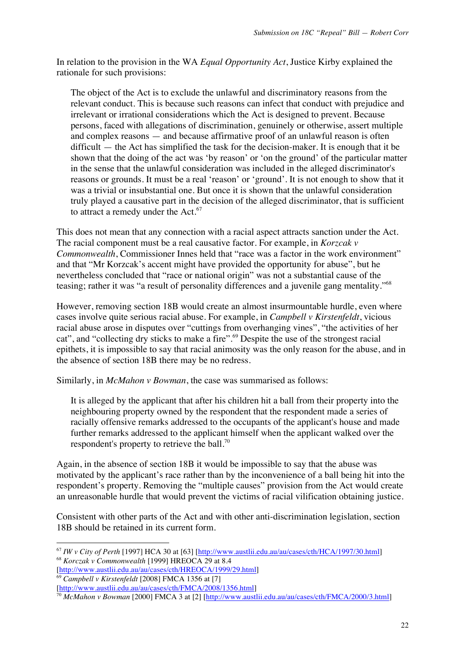In relation to the provision in the WA *Equal Opportunity Act*, Justice Kirby explained the rationale for such provisions:

The object of the Act is to exclude the unlawful and discriminatory reasons from the relevant conduct. This is because such reasons can infect that conduct with prejudice and irrelevant or irrational considerations which the Act is designed to prevent. Because persons, faced with allegations of discrimination, genuinely or otherwise, assert multiple and complex reasons — and because affirmative proof of an unlawful reason is often  $difficult$  — the Act has simplified the task for the decision-maker. It is enough that it be shown that the doing of the act was 'by reason' or 'on the ground' of the particular matter in the sense that the unlawful consideration was included in the alleged discriminator's reasons or grounds. It must be a real 'reason' or 'ground'. It is not enough to show that it was a trivial or insubstantial one. But once it is shown that the unlawful consideration truly played a causative part in the decision of the alleged discriminator, that is sufficient to attract a remedy under the  $Act.^{67}$ 

This does not mean that any connection with a racial aspect attracts sanction under the Act. The racial component must be a real causative factor. For example, in *Korzcak v Commonwealth*, Commissioner Innes held that "race was a factor in the work environment" and that "Mr Korzcak's accent might have provided the opportunity for abuse", but he nevertheless concluded that "race or national origin" was not a substantial cause of the teasing; rather it was "a result of personality differences and a juvenile gang mentality."<sup>68</sup>

However, removing section 18B would create an almost insurmountable hurdle, even where cases involve quite serious racial abuse. For example, in *Campbell v Kirstenfeldt*, vicious racial abuse arose in disputes over "cuttings from overhanging vines", "the activities of her cat", and "collecting dry sticks to make a fire".<sup>69</sup> Despite the use of the strongest racial epithets, it is impossible to say that racial animosity was the only reason for the abuse, and in the absence of section 18B there may be no redress.

Similarly, in *McMahon v Bowman*, the case was summarised as follows:

It is alleged by the applicant that after his children hit a ball from their property into the neighbouring property owned by the respondent that the respondent made a series of racially offensive remarks addressed to the occupants of the applicant's house and made further remarks addressed to the applicant himself when the applicant walked over the respondent's property to retrieve the ball.<sup>70</sup>

Again, in the absence of section 18B it would be impossible to say that the abuse was motivated by the applicant's race rather than by the inconvenience of a ball being hit into the respondent's property. Removing the "multiple causes" provision from the Act would create an unreasonable hurdle that would prevent the victims of racial vilification obtaining justice.

Consistent with other parts of the Act and with other anti-discrimination legislation, section 18B should be retained in its current form.

[http://www.austlii.edu.au/au/cases/cth/HREOCA/1999/29.html] <sup>69</sup> *Campbell v Kirstenfeldt* [2008] FMCA 1356 at [7]

<sup>67</sup> *IW v City of Perth* [1997] HCA 30 at [63] [http://www.austlii.edu.au/au/cases/cth/HCA/1997/30.html] <sup>68</sup> *Korczak v Commonwealth* [1999] HREOCA 29 at 8.4

<sup>[</sup>http://www.austlii.edu.au/au/cases/cth/FMCA/2008/1356.html]

<sup>70</sup> *McMahon v Bowman* [2000] FMCA 3 at [2] [http://www.austlii.edu.au/au/cases/cth/FMCA/2000/3.html]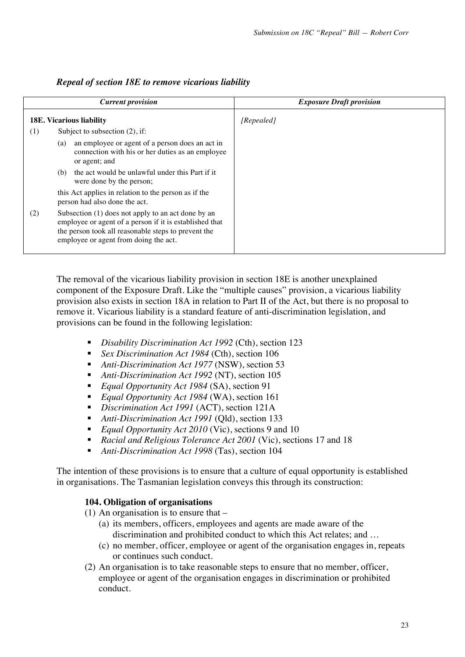|                                                                                                                                                                                                                      | <b>Current provision</b>                                                                                                    | <b>Exposure Draft provision</b> |
|----------------------------------------------------------------------------------------------------------------------------------------------------------------------------------------------------------------------|-----------------------------------------------------------------------------------------------------------------------------|---------------------------------|
|                                                                                                                                                                                                                      | <b>18E. Vicarious liability</b>                                                                                             | [Repealed]                      |
| (1)                                                                                                                                                                                                                  | Subject to subsection $(2)$ , if:                                                                                           |                                 |
|                                                                                                                                                                                                                      | an employee or agent of a person does an act in<br>(a)<br>connection with his or her duties as an employee<br>or agent; and |                                 |
|                                                                                                                                                                                                                      | the act would be unlawful under this Part if it<br>(b)<br>were done by the person;                                          |                                 |
|                                                                                                                                                                                                                      | this Act applies in relation to the person as if the<br>person had also done the act.                                       |                                 |
| Subsection (1) does not apply to an act done by an<br>(2)<br>employee or agent of a person if it is established that<br>the person took all reasonable steps to prevent the<br>employee or agent from doing the act. |                                                                                                                             |                                 |

# *Repeal of section 18E to remove vicarious liability*

The removal of the vicarious liability provision in section 18E is another unexplained component of the Exposure Draft. Like the "multiple causes" provision, a vicarious liability provision also exists in section 18A in relation to Part II of the Act, but there is no proposal to remove it. Vicarious liability is a standard feature of anti-discrimination legislation, and provisions can be found in the following legislation:

- ! *Disability Discrimination Act 1992* (Cth), section 123
- ! *Sex Discrimination Act 1984* (Cth), section 106
- *Anti-Discrimination Act 1977* (NSW), section 53
- *Anti-Discrimination Act 1992* (NT), section 105
- ! *Equal Opportunity Act 1984* (SA), section 91
- *Equal Opportunity Act 1984* (WA), section 161
- ! *Discrimination Act 1991* (ACT), section 121A
- ! *Anti-Discrimination Act 1991* (Qld), section 133
- ! *Equal Opportunity Act 2010* (Vic), sections 9 and 10
- ! *Racial and Religious Tolerance Act 2001* (Vic), sections 17 and 18
- ! *Anti-Discrimination Act 1998* (Tas), section 104

The intention of these provisions is to ensure that a culture of equal opportunity is established in organisations. The Tasmanian legislation conveys this through its construction:

### **104. Obligation of organisations**

- (1) An organisation is to ensure that
	- (a) its members, officers, employees and agents are made aware of the discrimination and prohibited conduct to which this Act relates; and …
	- (c) no member, officer, employee or agent of the organisation engages in, repeats or continues such conduct.
- (2) An organisation is to take reasonable steps to ensure that no member, officer, employee or agent of the organisation engages in discrimination or prohibited conduct.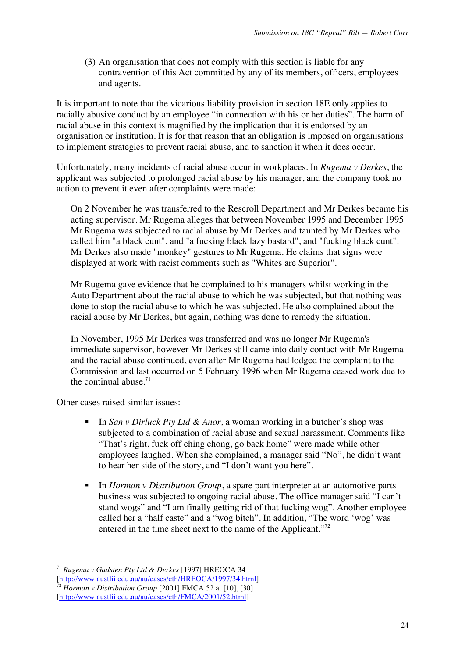(3) An organisation that does not comply with this section is liable for any contravention of this Act committed by any of its members, officers, employees and agents.

It is important to note that the vicarious liability provision in section 18E only applies to racially abusive conduct by an employee "in connection with his or her duties". The harm of racial abuse in this context is magnified by the implication that it is endorsed by an organisation or institution. It is for that reason that an obligation is imposed on organisations to implement strategies to prevent racial abuse, and to sanction it when it does occur.

Unfortunately, many incidents of racial abuse occur in workplaces. In *Rugema v Derkes*, the applicant was subjected to prolonged racial abuse by his manager, and the company took no action to prevent it even after complaints were made:

On 2 November he was transferred to the Rescroll Department and Mr Derkes became his acting supervisor. Mr Rugema alleges that between November 1995 and December 1995 Mr Rugema was subjected to racial abuse by Mr Derkes and taunted by Mr Derkes who called him "a black cunt", and "a fucking black lazy bastard", and "fucking black cunt". Mr Derkes also made "monkey" gestures to Mr Rugema. He claims that signs were displayed at work with racist comments such as "Whites are Superior".

Mr Rugema gave evidence that he complained to his managers whilst working in the Auto Department about the racial abuse to which he was subjected, but that nothing was done to stop the racial abuse to which he was subjected. He also complained about the racial abuse by Mr Derkes, but again, nothing was done to remedy the situation.

In November, 1995 Mr Derkes was transferred and was no longer Mr Rugema's immediate supervisor, however Mr Derkes still came into daily contact with Mr Rugema and the racial abuse continued, even after Mr Rugema had lodged the complaint to the Commission and last occurred on 5 February 1996 when Mr Rugema ceased work due to the continual abuse. $71$ 

Other cases raised similar issues:

- ! In *San v Dirluck Pty Ltd & Anor,* a woman working in a butcher's shop was subjected to a combination of racial abuse and sexual harassment. Comments like "That's right, fuck off ching chong, go back home" were made while other employees laughed. When she complained, a manager said "No", he didn't want to hear her side of the story, and "I don't want you here".
- ! In *Horman v Distribution Group*, a spare part interpreter at an automotive parts business was subjected to ongoing racial abuse. The office manager said "I can't stand wogs" and "I am finally getting rid of that fucking wog". Another employee called her a "half caste" and a "wog bitch". In addition, "The word 'wog' was entered in the time sheet next to the name of the Applicant."<sup>72</sup>

<sup>71</sup> *Rugema v Gadsten Pty Ltd & Derkes* [1997] HREOCA 34 [http://www.austlii.edu.au/au/cases/cth/HREOCA/1997/34.html]

<sup>72</sup> *Horman v Distribution Group* [2001] FMCA 52 at [10], [30]

<sup>[</sup>http://www.austlii.edu.au/au/cases/cth/FMCA/2001/52.html]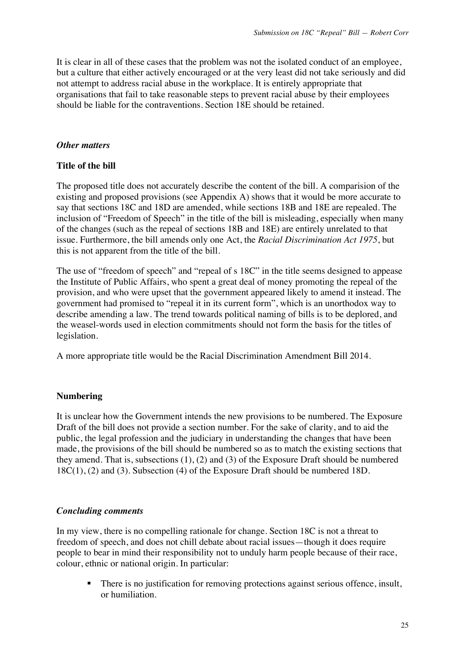It is clear in all of these cases that the problem was not the isolated conduct of an employee, but a culture that either actively encouraged or at the very least did not take seriously and did not attempt to address racial abuse in the workplace. It is entirely appropriate that organisations that fail to take reasonable steps to prevent racial abuse by their employees should be liable for the contraventions. Section 18E should be retained.

### *Other matters*

### **Title of the bill**

The proposed title does not accurately describe the content of the bill. A comparision of the existing and proposed provisions (see Appendix A) shows that it would be more accurate to say that sections 18C and 18D are amended, while sections 18B and 18E are repealed. The inclusion of "Freedom of Speech" in the title of the bill is misleading, especially when many of the changes (such as the repeal of sections 18B and 18E) are entirely unrelated to that issue. Furthermore, the bill amends only one Act, the *Racial Discrimination Act 1975*, but this is not apparent from the title of the bill.

The use of "freedom of speech" and "repeal of s 18C" in the title seems designed to appease the Institute of Public Affairs, who spent a great deal of money promoting the repeal of the provision, and who were upset that the government appeared likely to amend it instead. The government had promised to "repeal it in its current form", which is an unorthodox way to describe amending a law. The trend towards political naming of bills is to be deplored, and the weasel-words used in election commitments should not form the basis for the titles of legislation.

A more appropriate title would be the Racial Discrimination Amendment Bill 2014.

### **Numbering**

It is unclear how the Government intends the new provisions to be numbered. The Exposure Draft of the bill does not provide a section number. For the sake of clarity, and to aid the public, the legal profession and the judiciary in understanding the changes that have been made, the provisions of the bill should be numbered so as to match the existing sections that they amend. That is, subsections (1), (2) and (3) of the Exposure Draft should be numbered 18C(1), (2) and (3). Subsection (4) of the Exposure Draft should be numbered 18D.

### *Concluding comments*

In my view, there is no compelling rationale for change. Section 18C is not a threat to freedom of speech, and does not chill debate about racial issues—though it does require people to bear in mind their responsibility not to unduly harm people because of their race, colour, ethnic or national origin. In particular:

! There is no justification for removing protections against serious offence, insult, or humiliation.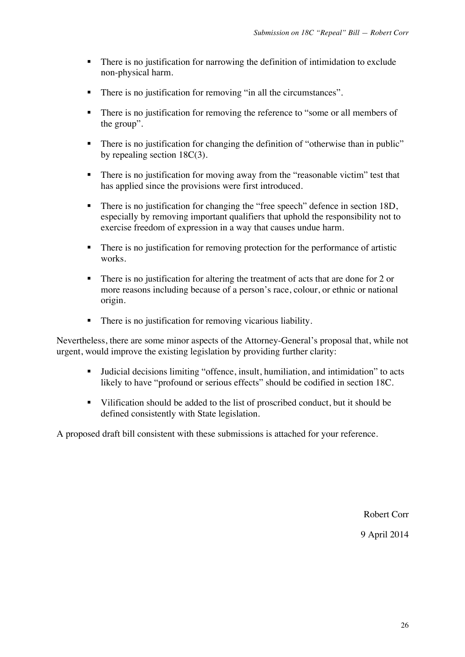- ! There is no justification for narrowing the definition of intimidation to exclude non-physical harm.
- ! There is no justification for removing "in all the circumstances".
- ! There is no justification for removing the reference to "some or all members of the group".
- ! There is no justification for changing the definition of "otherwise than in public" by repealing section 18C(3).
- ! There is no justification for moving away from the "reasonable victim" test that has applied since the provisions were first introduced.
- ! There is no justification for changing the "free speech" defence in section 18D, especially by removing important qualifiers that uphold the responsibility not to exercise freedom of expression in a way that causes undue harm.
- ! There is no justification for removing protection for the performance of artistic works.
- ! There is no justification for altering the treatment of acts that are done for 2 or more reasons including because of a person's race, colour, or ethnic or national origin.
- ! There is no justification for removing vicarious liability.

Nevertheless, there are some minor aspects of the Attorney-General's proposal that, while not urgent, would improve the existing legislation by providing further clarity:

- ! Judicial decisions limiting "offence, insult, humiliation, and intimidation" to acts likely to have "profound or serious effects" should be codified in section 18C.
- ! Vilification should be added to the list of proscribed conduct, but it should be defined consistently with State legislation.

A proposed draft bill consistent with these submissions is attached for your reference.

Robert Corr

9 April 2014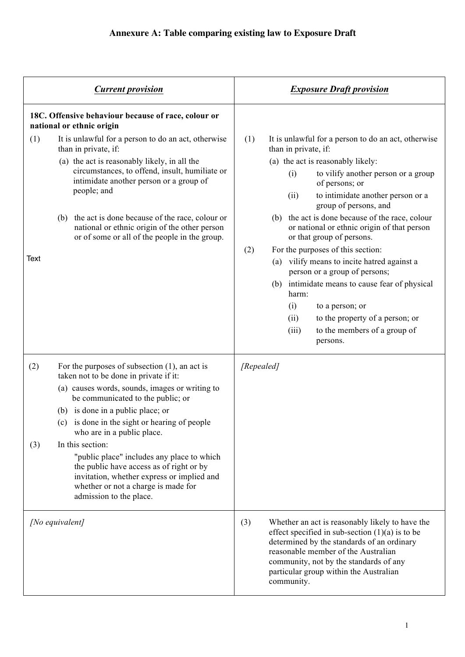| <b>Current provision</b> |                                                                                                                                                                                                                                                                                                                                                                                                                                                                                                                                     | <b>Exposure Draft provision</b>                                                                                                                                                                                                                                                                                                                                                                                                                                                                                                                                                                                                                                                                                        |  |
|--------------------------|-------------------------------------------------------------------------------------------------------------------------------------------------------------------------------------------------------------------------------------------------------------------------------------------------------------------------------------------------------------------------------------------------------------------------------------------------------------------------------------------------------------------------------------|------------------------------------------------------------------------------------------------------------------------------------------------------------------------------------------------------------------------------------------------------------------------------------------------------------------------------------------------------------------------------------------------------------------------------------------------------------------------------------------------------------------------------------------------------------------------------------------------------------------------------------------------------------------------------------------------------------------------|--|
|                          | 18C. Offensive behaviour because of race, colour or<br>national or ethnic origin                                                                                                                                                                                                                                                                                                                                                                                                                                                    |                                                                                                                                                                                                                                                                                                                                                                                                                                                                                                                                                                                                                                                                                                                        |  |
| (1)<br>Text              | It is unlawful for a person to do an act, otherwise<br>than in private, if:<br>(a) the act is reasonably likely, in all the<br>circumstances, to offend, insult, humiliate or<br>intimidate another person or a group of<br>people; and<br>the act is done because of the race, colour or<br>(b)<br>national or ethnic origin of the other person<br>or of some or all of the people in the group.                                                                                                                                  | (1)<br>It is unlawful for a person to do an act, otherwise<br>than in private, if:<br>(a) the act is reasonably likely:<br>to vilify another person or a group<br>(i)<br>of persons; or<br>to intimidate another person or a<br>(ii)<br>group of persons, and<br>the act is done because of the race, colour<br>(b)<br>or national or ethnic origin of that person<br>or that group of persons.<br>(2)<br>For the purposes of this section:<br>vilify means to incite hatred against a<br>(a)<br>person or a group of persons;<br>intimidate means to cause fear of physical<br>(b)<br>harm:<br>(i)<br>to a person; or<br>to the property of a person; or<br>(ii)<br>to the members of a group of<br>(iii)<br>persons. |  |
| (2)<br>(3)               | For the purposes of subsection $(1)$ , an act is<br>taken not to be done in private if it:<br>(a) causes words, sounds, images or writing to<br>be communicated to the public; or<br>(b) is done in a public place; or<br>(c) is done in the sight or hearing of people<br>who are in a public place.<br>In this section:<br>"public place" includes any place to which<br>the public have access as of right or by<br>invitation, whether express or implied and<br>whether or not a charge is made for<br>admission to the place. | [Repealed]                                                                                                                                                                                                                                                                                                                                                                                                                                                                                                                                                                                                                                                                                                             |  |
| [No equivalent]          |                                                                                                                                                                                                                                                                                                                                                                                                                                                                                                                                     | (3)<br>Whether an act is reasonably likely to have the<br>effect specified in sub-section $(1)(a)$ is to be<br>determined by the standards of an ordinary<br>reasonable member of the Australian<br>community, not by the standards of any<br>particular group within the Australian<br>community.                                                                                                                                                                                                                                                                                                                                                                                                                     |  |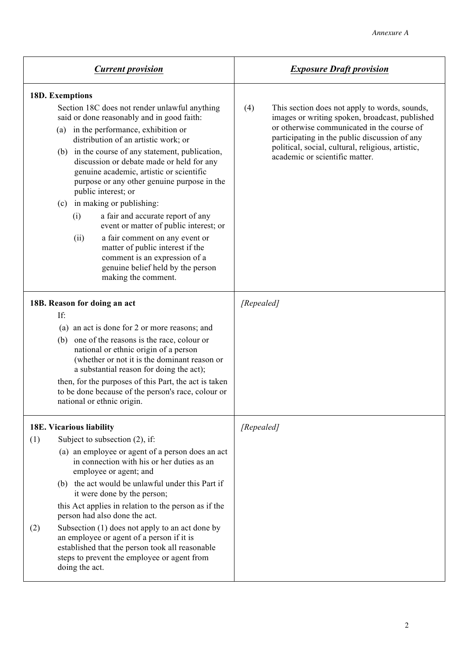| <b>Current provision</b> |                                                                                                                                                                                                                                                                                                   |                                                                                                                                                                                                                 |                                                                                                                                                                                                | <b>Exposure Draft provision</b>                                                     |                                                                                                                                                                                                       |  |
|--------------------------|---------------------------------------------------------------------------------------------------------------------------------------------------------------------------------------------------------------------------------------------------------------------------------------------------|-----------------------------------------------------------------------------------------------------------------------------------------------------------------------------------------------------------------|------------------------------------------------------------------------------------------------------------------------------------------------------------------------------------------------|-------------------------------------------------------------------------------------|-------------------------------------------------------------------------------------------------------------------------------------------------------------------------------------------------------|--|
|                          | 18D. Exemptions<br>Section 18C does not render unlawful anything<br>said or done reasonably and in good faith:<br>(a) in the performance, exhibition or<br>distribution of an artistic work; or                                                                                                   |                                                                                                                                                                                                                 |                                                                                                                                                                                                |                                                                                     | This section does not apply to words, sounds,<br>(4)<br>images or writing spoken, broadcast, published<br>or otherwise communicated in the course of<br>participating in the public discussion of any |  |
|                          |                                                                                                                                                                                                                                                                                                   | (b) in the course of any statement, publication,<br>discussion or debate made or held for any<br>genuine academic, artistic or scientific<br>purpose or any other genuine purpose in the<br>public interest; or |                                                                                                                                                                                                | political, social, cultural, religious, artistic,<br>academic or scientific matter. |                                                                                                                                                                                                       |  |
|                          |                                                                                                                                                                                                                                                                                                   |                                                                                                                                                                                                                 | (c) in making or publishing:                                                                                                                                                                   |                                                                                     |                                                                                                                                                                                                       |  |
|                          |                                                                                                                                                                                                                                                                                                   | (i)                                                                                                                                                                                                             | a fair and accurate report of any<br>event or matter of public interest; or                                                                                                                    |                                                                                     |                                                                                                                                                                                                       |  |
|                          |                                                                                                                                                                                                                                                                                                   | (ii)                                                                                                                                                                                                            | a fair comment on any event or<br>matter of public interest if the<br>comment is an expression of a<br>genuine belief held by the person<br>making the comment.                                |                                                                                     |                                                                                                                                                                                                       |  |
|                          | 18B. Reason for doing an act                                                                                                                                                                                                                                                                      |                                                                                                                                                                                                                 |                                                                                                                                                                                                |                                                                                     | [Repealed]                                                                                                                                                                                            |  |
|                          | If:<br>(a) an act is done for 2 or more reasons; and                                                                                                                                                                                                                                              |                                                                                                                                                                                                                 |                                                                                                                                                                                                |                                                                                     |                                                                                                                                                                                                       |  |
|                          | (b) one of the reasons is the race, colour or<br>national or ethnic origin of a person<br>(whether or not it is the dominant reason or<br>a substantial reason for doing the act);<br>then, for the purposes of this Part, the act is taken<br>to be done because of the person's race, colour or |                                                                                                                                                                                                                 |                                                                                                                                                                                                |                                                                                     |                                                                                                                                                                                                       |  |
|                          | national or ethnic origin.                                                                                                                                                                                                                                                                        |                                                                                                                                                                                                                 |                                                                                                                                                                                                |                                                                                     |                                                                                                                                                                                                       |  |
| 18E. Vicarious liability |                                                                                                                                                                                                                                                                                                   |                                                                                                                                                                                                                 |                                                                                                                                                                                                | [Repealed]                                                                          |                                                                                                                                                                                                       |  |
| (1)                      |                                                                                                                                                                                                                                                                                                   |                                                                                                                                                                                                                 | Subject to subsection $(2)$ , if:<br>(a) an employee or agent of a person does an act<br>in connection with his or her duties as an<br>employee or agent; and                                  |                                                                                     |                                                                                                                                                                                                       |  |
|                          |                                                                                                                                                                                                                                                                                                   |                                                                                                                                                                                                                 | (b) the act would be unlawful under this Part if<br>it were done by the person;                                                                                                                |                                                                                     |                                                                                                                                                                                                       |  |
|                          |                                                                                                                                                                                                                                                                                                   |                                                                                                                                                                                                                 | this Act applies in relation to the person as if the<br>person had also done the act.                                                                                                          |                                                                                     |                                                                                                                                                                                                       |  |
| (2)                      |                                                                                                                                                                                                                                                                                                   | doing the act.                                                                                                                                                                                                  | Subsection (1) does not apply to an act done by<br>an employee or agent of a person if it is<br>established that the person took all reasonable<br>steps to prevent the employee or agent from |                                                                                     |                                                                                                                                                                                                       |  |